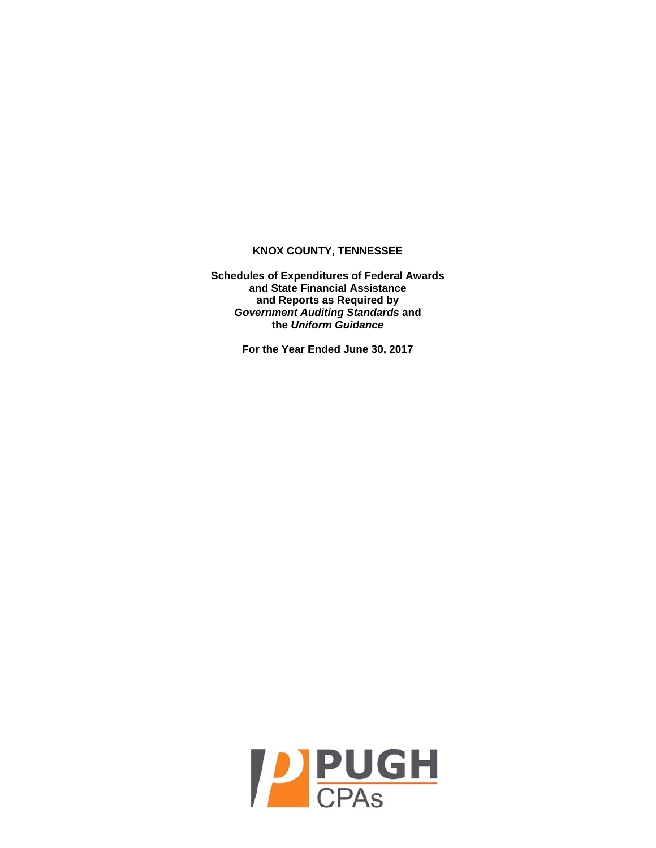**Schedules of Expenditures of Federal Awards and State Financial Assistance and Reports as Required by**  *Government Auditing Standards* **and the** *Uniform Guidance*

**For the Year Ended June 30, 2017** 

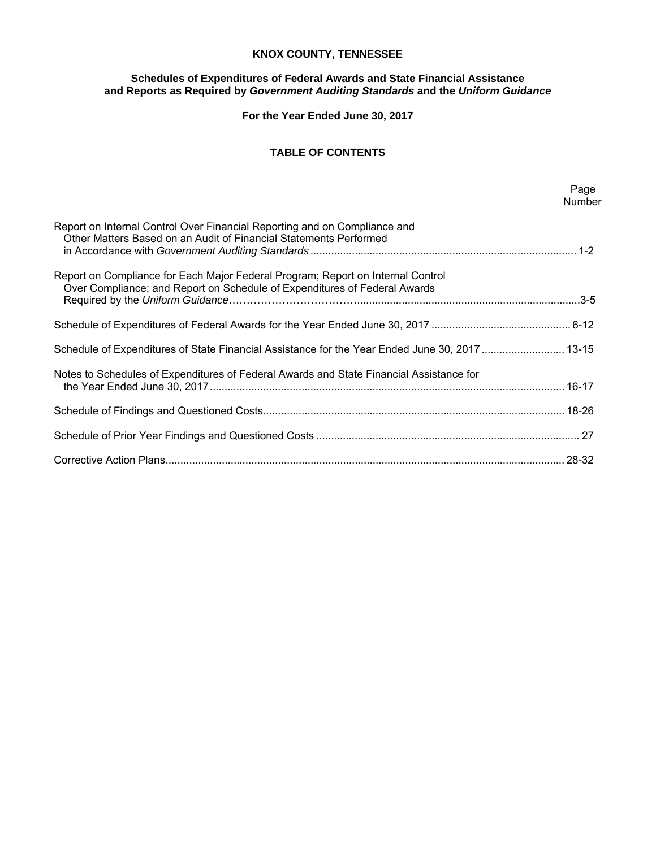#### **Schedules of Expenditures of Federal Awards and State Financial Assistance and Reports as Required by** *Government Auditing Standards* **and the** *Uniform Guidance*

**For the Year Ended June 30, 2017** 

## **TABLE OF CONTENTS**

|                                                                                                                                                              | Page<br>Number |
|--------------------------------------------------------------------------------------------------------------------------------------------------------------|----------------|
| Report on Internal Control Over Financial Reporting and on Compliance and<br>Other Matters Based on an Audit of Financial Statements Performed               |                |
| Report on Compliance for Each Major Federal Program; Report on Internal Control<br>Over Compliance; and Report on Schedule of Expenditures of Federal Awards |                |
|                                                                                                                                                              |                |
| Schedule of Expenditures of State Financial Assistance for the Year Ended June 30, 2017  13-15                                                               |                |
| Notes to Schedules of Expenditures of Federal Awards and State Financial Assistance for                                                                      |                |
|                                                                                                                                                              |                |
|                                                                                                                                                              |                |
|                                                                                                                                                              |                |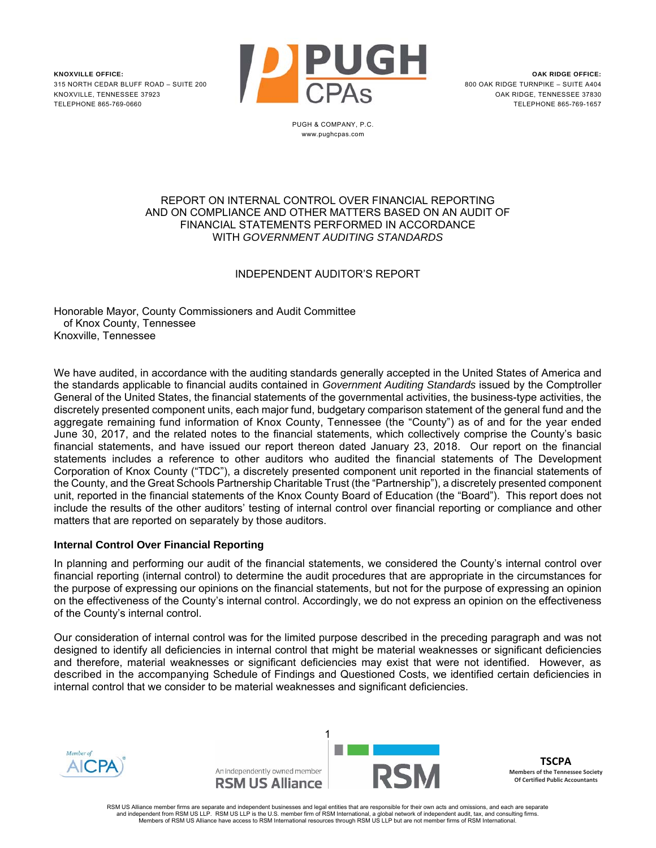

PUGH & COMPANY, P.C. www.pughcpas.com

#### REPORT ON INTERNAL CONTROL OVER FINANCIAL REPORTING AND ON COMPLIANCE AND OTHER MATTERS BASED ON AN AUDIT OF FINANCIAL STATEMENTS PERFORMED IN ACCORDANCE WITH *GOVERNMENT AUDITING STANDARDS*

## INDEPENDENT AUDITOR'S REPORT

Honorable Mayor, County Commissioners and Audit Committee of Knox County, Tennessee Knoxville, Tennessee

We have audited, in accordance with the auditing standards generally accepted in the United States of America and the standards applicable to financial audits contained in *Government Auditing Standards* issued by the Comptroller General of the United States, the financial statements of the governmental activities, the business-type activities, the discretely presented component units, each major fund, budgetary comparison statement of the general fund and the aggregate remaining fund information of Knox County, Tennessee (the "County") as of and for the year ended June 30, 2017, and the related notes to the financial statements, which collectively comprise the County's basic financial statements, and have issued our report thereon dated January 23, 2018. Our report on the financial statements includes a reference to other auditors who audited the financial statements of The Development Corporation of Knox County ("TDC"), a discretely presented component unit reported in the financial statements of the County, and the Great Schools Partnership Charitable Trust (the "Partnership"), a discretely presented component unit, reported in the financial statements of the Knox County Board of Education (the "Board"). This report does not include the results of the other auditors' testing of internal control over financial reporting or compliance and other matters that are reported on separately by those auditors.

## **Internal Control Over Financial Reporting**

In planning and performing our audit of the financial statements, we considered the County's internal control over financial reporting (internal control) to determine the audit procedures that are appropriate in the circumstances for the purpose of expressing our opinions on the financial statements, but not for the purpose of expressing an opinion on the effectiveness of the County's internal control. Accordingly, we do not express an opinion on the effectiveness of the County's internal control.

Our consideration of internal control was for the limited purpose described in the preceding paragraph and was not designed to identify all deficiencies in internal control that might be material weaknesses or significant deficiencies and therefore, material weaknesses or significant deficiencies may exist that were not identified. However, as described in the accompanying Schedule of Findings and Questioned Costs, we identified certain deficiencies in internal control that we consider to be material weaknesses and significant deficiencies.

1



An independently owned member **RSM US Alliance** 



**TSCPA Members of the Tennessee Society Of Certified Public Accountants**

RSM US Alliance member firms are separate and independent businesses and legal entities that are responsible for their own acts and omissions, and each are separate<br>and independent from RSM US LLED. RSM US LLED is the U.S.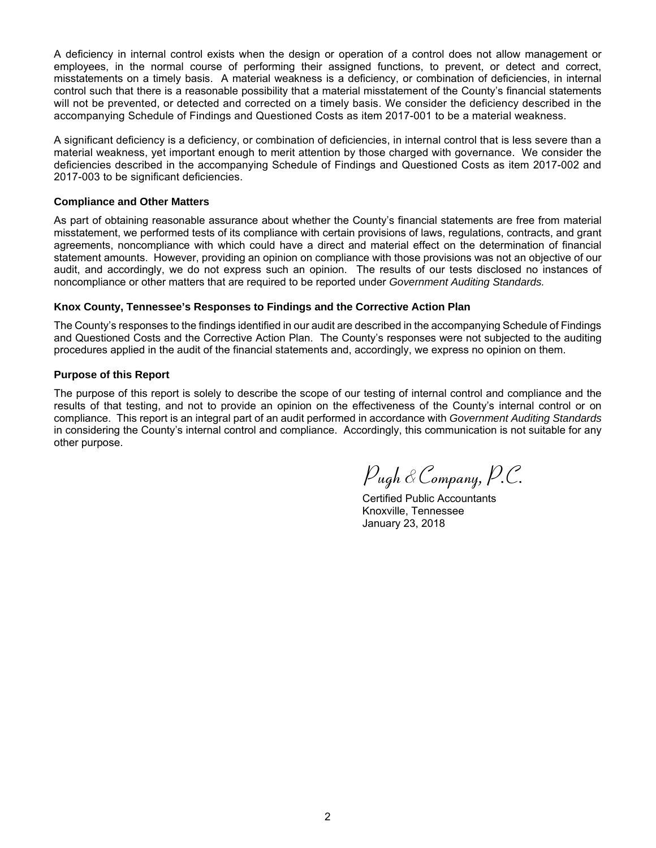A deficiency in internal control exists when the design or operation of a control does not allow management or employees, in the normal course of performing their assigned functions, to prevent, or detect and correct, misstatements on a timely basis. A material weakness is a deficiency, or combination of deficiencies, in internal control such that there is a reasonable possibility that a material misstatement of the County's financial statements will not be prevented, or detected and corrected on a timely basis. We consider the deficiency described in the accompanying Schedule of Findings and Questioned Costs as item 2017-001 to be a material weakness.

A significant deficiency is a deficiency, or combination of deficiencies, in internal control that is less severe than a material weakness, yet important enough to merit attention by those charged with governance. We consider the deficiencies described in the accompanying Schedule of Findings and Questioned Costs as item 2017-002 and 2017-003 to be significant deficiencies.

#### **Compliance and Other Matters**

As part of obtaining reasonable assurance about whether the County's financial statements are free from material misstatement, we performed tests of its compliance with certain provisions of laws, regulations, contracts, and grant agreements, noncompliance with which could have a direct and material effect on the determination of financial statement amounts. However, providing an opinion on compliance with those provisions was not an objective of our audit, and accordingly, we do not express such an opinion. The results of our tests disclosed no instances of noncompliance or other matters that are required to be reported under *Government Auditing Standards.*

### **Knox County, Tennessee's Responses to Findings and the Corrective Action Plan**

The County's responses to the findings identified in our audit are described in the accompanying Schedule of Findings and Questioned Costs and the Corrective Action Plan. The County's responses were not subjected to the auditing procedures applied in the audit of the financial statements and, accordingly, we express no opinion on them.

### **Purpose of this Report**

The purpose of this report is solely to describe the scope of our testing of internal control and compliance and the results of that testing, and not to provide an opinion on the effectiveness of the County's internal control or on compliance. This report is an integral part of an audit performed in accordance with *Government Auditing Standards* in considering the County's internal control and compliance. Accordingly, this communication is not suitable for any other purpose.

*Pugh* &*Company, P.C.*

 Certified Public Accountants Knoxville, Tennessee January 23, 2018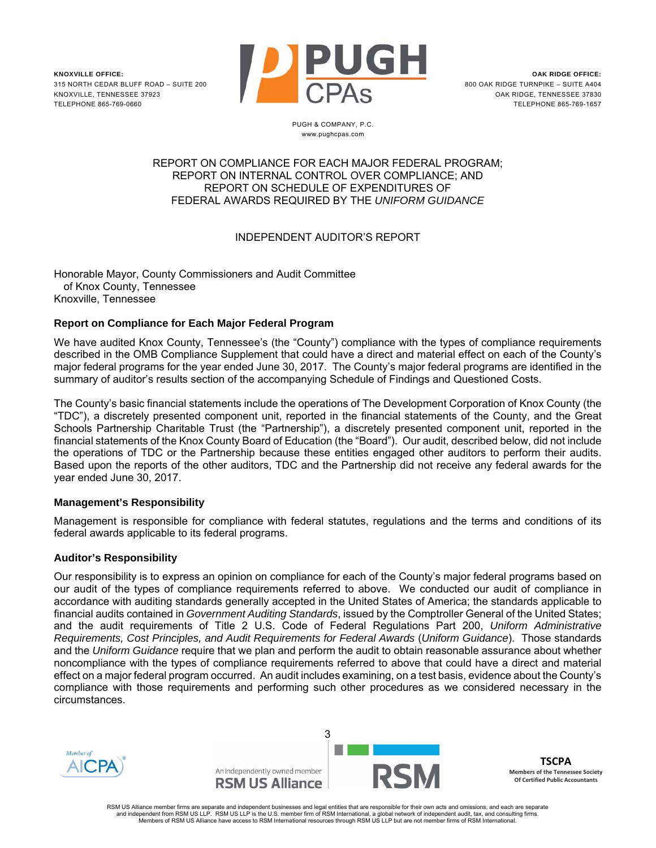

PUGH & COMPANY, P.C. www.pughcpas.com

### REPORT ON COMPLIANCE FOR EACH MAJOR FEDERAL PROGRAM; REPORT ON INTERNAL CONTROL OVER COMPLIANCE; AND REPORT ON SCHEDULE OF EXPENDITURES OF FEDERAL AWARDS REQUIRED BY THE *UNIFORM GUIDANCE*

# INDEPENDENT AUDITOR'S REPORT

Honorable Mayor, County Commissioners and Audit Committee of Knox County, Tennessee Knoxville, Tennessee

## **Report on Compliance for Each Major Federal Program**

We have audited Knox County, Tennessee's (the "County") compliance with the types of compliance requirements described in the OMB Compliance Supplement that could have a direct and material effect on each of the County's major federal programs for the year ended June 30, 2017. The County's major federal programs are identified in the summary of auditor's results section of the accompanying Schedule of Findings and Questioned Costs.

The County's basic financial statements include the operations of The Development Corporation of Knox County (the "TDC"), a discretely presented component unit, reported in the financial statements of the County, and the Great Schools Partnership Charitable Trust (the "Partnership"), a discretely presented component unit, reported in the financial statements of the Knox County Board of Education (the "Board"). Our audit, described below, did not include the operations of TDC or the Partnership because these entities engaged other auditors to perform their audits. Based upon the reports of the other auditors, TDC and the Partnership did not receive any federal awards for the year ended June 30, 2017.

## **Management's Responsibility**

Management is responsible for compliance with federal statutes, regulations and the terms and conditions of its federal awards applicable to its federal programs.

## **Auditor's Responsibility**

Our responsibility is to express an opinion on compliance for each of the County's major federal programs based on our audit of the types of compliance requirements referred to above. We conducted our audit of compliance in accordance with auditing standards generally accepted in the United States of America; the standards applicable to financial audits contained in *Government Auditing Standards*, issued by the Comptroller General of the United States; and the audit requirements of Title 2 U.S. Code of Federal Regulations Part 200, *Uniform Administrative Requirements, Cost Principles, and Audit Requirements for Federal Awards* (*Uniform Guidance*). Those standards and the *Uniform Guidance* require that we plan and perform the audit to obtain reasonable assurance about whether noncompliance with the types of compliance requirements referred to above that could have a direct and material effect on a major federal program occurred. An audit includes examining, on a test basis, evidence about the County's compliance with those requirements and performing such other procedures as we considered necessary in the circumstances.





**TSCPA Members of the Tennessee Society Of Certified Public Accountants**

RSM US Alliance member firms are separate and independent businesses and legal entities that are responsible for their own acts and omissions, and each are separate<br>and independent from RSM US LLP. RSM US LLP is the U.S. m Members of RSM US Alliance have access to RSM International resources through RSM US LLP but are not member firms of RSM International.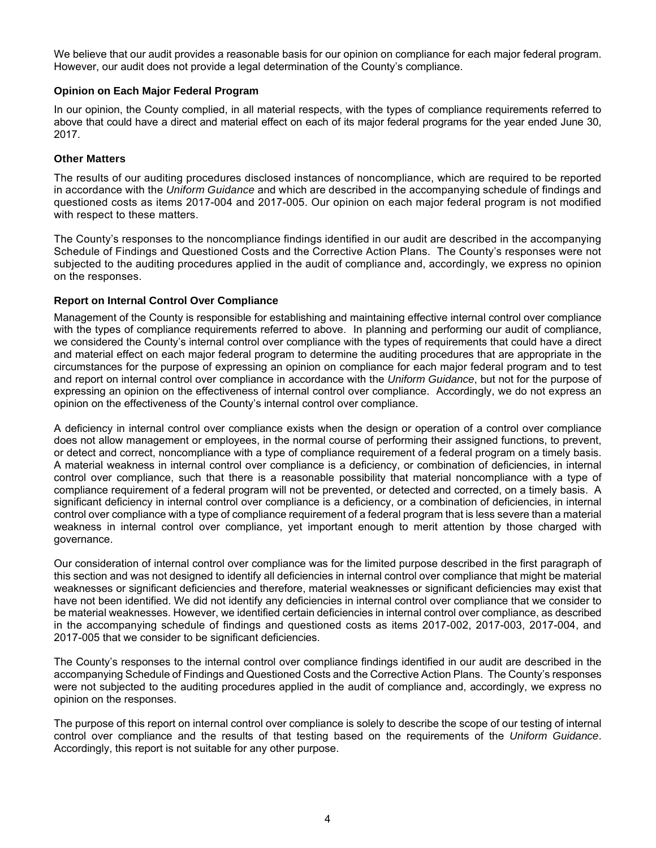We believe that our audit provides a reasonable basis for our opinion on compliance for each major federal program. However, our audit does not provide a legal determination of the County's compliance.

### **Opinion on Each Major Federal Program**

In our opinion, the County complied, in all material respects, with the types of compliance requirements referred to above that could have a direct and material effect on each of its major federal programs for the year ended June 30, 2017.

#### **Other Matters**

The results of our auditing procedures disclosed instances of noncompliance, which are required to be reported in accordance with the *Uniform Guidance* and which are described in the accompanying schedule of findings and questioned costs as items 2017-004 and 2017-005. Our opinion on each major federal program is not modified with respect to these matters.

The County's responses to the noncompliance findings identified in our audit are described in the accompanying Schedule of Findings and Questioned Costs and the Corrective Action Plans. The County's responses were not subjected to the auditing procedures applied in the audit of compliance and, accordingly, we express no opinion on the responses.

### **Report on Internal Control Over Compliance**

Management of the County is responsible for establishing and maintaining effective internal control over compliance with the types of compliance requirements referred to above. In planning and performing our audit of compliance, we considered the County's internal control over compliance with the types of requirements that could have a direct and material effect on each major federal program to determine the auditing procedures that are appropriate in the circumstances for the purpose of expressing an opinion on compliance for each major federal program and to test and report on internal control over compliance in accordance with the *Uniform Guidance*, but not for the purpose of expressing an opinion on the effectiveness of internal control over compliance. Accordingly, we do not express an opinion on the effectiveness of the County's internal control over compliance.

A deficiency in internal control over compliance exists when the design or operation of a control over compliance does not allow management or employees, in the normal course of performing their assigned functions, to prevent, or detect and correct, noncompliance with a type of compliance requirement of a federal program on a timely basis. A material weakness in internal control over compliance is a deficiency, or combination of deficiencies, in internal control over compliance, such that there is a reasonable possibility that material noncompliance with a type of compliance requirement of a federal program will not be prevented, or detected and corrected, on a timely basis. A significant deficiency in internal control over compliance is a deficiency, or a combination of deficiencies, in internal control over compliance with a type of compliance requirement of a federal program that is less severe than a material weakness in internal control over compliance, yet important enough to merit attention by those charged with governance.

Our consideration of internal control over compliance was for the limited purpose described in the first paragraph of this section and was not designed to identify all deficiencies in internal control over compliance that might be material weaknesses or significant deficiencies and therefore, material weaknesses or significant deficiencies may exist that have not been identified. We did not identify any deficiencies in internal control over compliance that we consider to be material weaknesses. However, we identified certain deficiencies in internal control over compliance, as described in the accompanying schedule of findings and questioned costs as items 2017-002, 2017-003, 2017-004, and 2017-005 that we consider to be significant deficiencies.

The County's responses to the internal control over compliance findings identified in our audit are described in the accompanying Schedule of Findings and Questioned Costs and the Corrective Action Plans. The County's responses were not subjected to the auditing procedures applied in the audit of compliance and, accordingly, we express no opinion on the responses.

The purpose of this report on internal control over compliance is solely to describe the scope of our testing of internal control over compliance and the results of that testing based on the requirements of the *Uniform Guidance*. Accordingly, this report is not suitable for any other purpose.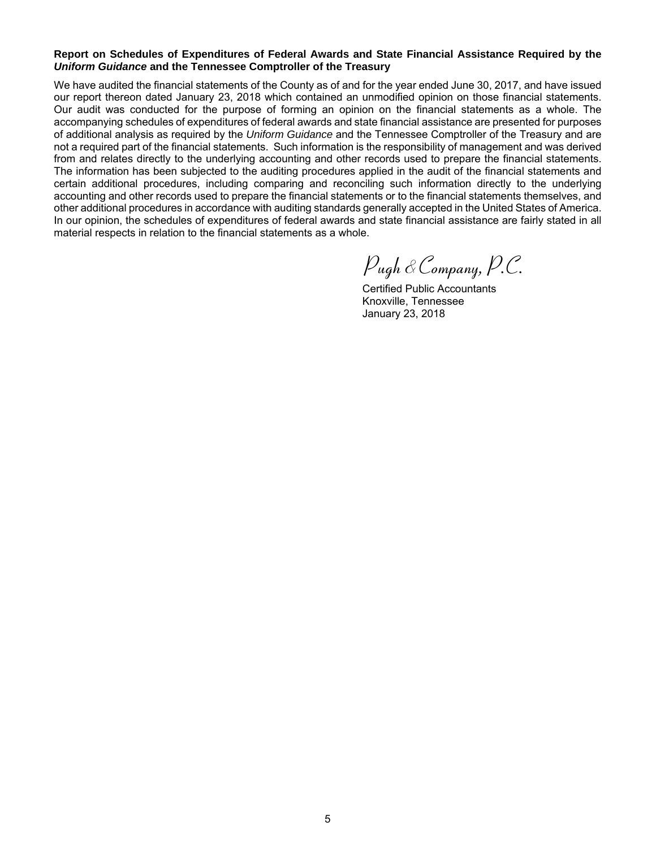#### **Report on Schedules of Expenditures of Federal Awards and State Financial Assistance Required by the**  *Uniform Guidance* **and the Tennessee Comptroller of the Treasury**

We have audited the financial statements of the County as of and for the year ended June 30, 2017, and have issued our report thereon dated January 23, 2018 which contained an unmodified opinion on those financial statements. Our audit was conducted for the purpose of forming an opinion on the financial statements as a whole. The accompanying schedules of expenditures of federal awards and state financial assistance are presented for purposes of additional analysis as required by the *Uniform Guidance* and the Tennessee Comptroller of the Treasury and are not a required part of the financial statements. Such information is the responsibility of management and was derived from and relates directly to the underlying accounting and other records used to prepare the financial statements. The information has been subjected to the auditing procedures applied in the audit of the financial statements and certain additional procedures, including comparing and reconciling such information directly to the underlying accounting and other records used to prepare the financial statements or to the financial statements themselves, and other additional procedures in accordance with auditing standards generally accepted in the United States of America. In our opinion, the schedules of expenditures of federal awards and state financial assistance are fairly stated in all material respects in relation to the financial statements as a whole.

*Pugh* &*Company, P.C.*

 Certified Public Accountants Knoxville, Tennessee January 23, 2018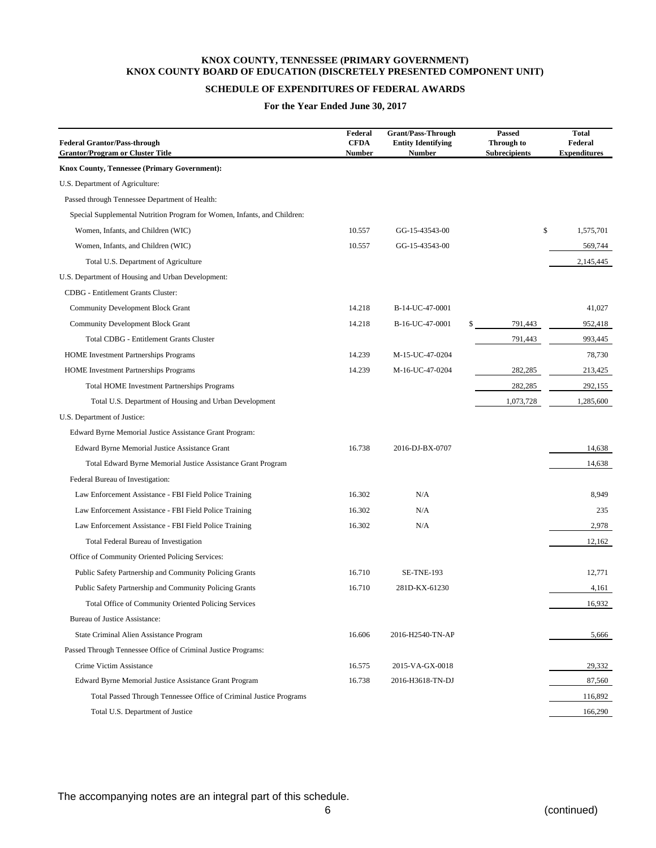## **SCHEDULE OF EXPENDITURES OF FEDERAL AWARDS**

**For the Year Ended June 30, 2017**

| <b>Federal Grantor/Pass-through</b><br><b>Grantor/Program or Cluster Title</b> | Federal<br><b>CFDA</b><br><b>Number</b> | <b>Grant/Pass-Through</b><br><b>Entity Identifying</b><br><b>Number</b> | <b>Passed</b><br>Through to<br><b>Subrecipients</b> | <b>Total</b><br>Federal<br><b>Expenditures</b> |
|--------------------------------------------------------------------------------|-----------------------------------------|-------------------------------------------------------------------------|-----------------------------------------------------|------------------------------------------------|
| Knox County, Tennessee (Primary Government):                                   |                                         |                                                                         |                                                     |                                                |
| U.S. Department of Agriculture:                                                |                                         |                                                                         |                                                     |                                                |
| Passed through Tennessee Department of Health:                                 |                                         |                                                                         |                                                     |                                                |
| Special Supplemental Nutrition Program for Women, Infants, and Children:       |                                         |                                                                         |                                                     |                                                |
| Women, Infants, and Children (WIC)                                             | 10.557                                  | GG-15-43543-00                                                          | \$                                                  | 1,575,701                                      |
| Women, Infants, and Children (WIC)                                             | 10.557                                  | GG-15-43543-00                                                          |                                                     | 569,744                                        |
| Total U.S. Department of Agriculture                                           |                                         |                                                                         |                                                     | 2,145,445                                      |
| U.S. Department of Housing and Urban Development:                              |                                         |                                                                         |                                                     |                                                |
| CDBG - Entitlement Grants Cluster:                                             |                                         |                                                                         |                                                     |                                                |
| <b>Community Development Block Grant</b>                                       | 14.218                                  | B-14-UC-47-0001                                                         |                                                     | 41,027                                         |
| <b>Community Development Block Grant</b>                                       | 14.218                                  | B-16-UC-47-0001                                                         | 791,443<br>\$                                       | 952,418                                        |
| <b>Total CDBG - Entitlement Grants Cluster</b>                                 |                                         |                                                                         | 791,443                                             | 993,445                                        |
| <b>HOME</b> Investment Partnerships Programs                                   | 14.239                                  | M-15-UC-47-0204                                                         |                                                     | 78,730                                         |
| <b>HOME</b> Investment Partnerships Programs                                   | 14.239                                  | M-16-UC-47-0204                                                         | 282,285                                             | 213,425                                        |
| <b>Total HOME Investment Partnerships Programs</b>                             |                                         |                                                                         | 282,285                                             | 292,155                                        |
| Total U.S. Department of Housing and Urban Development                         |                                         |                                                                         | 1,073,728                                           | 1,285,600                                      |
| U.S. Department of Justice:                                                    |                                         |                                                                         |                                                     |                                                |
| Edward Byrne Memorial Justice Assistance Grant Program:                        |                                         |                                                                         |                                                     |                                                |
| Edward Byrne Memorial Justice Assistance Grant                                 | 16.738                                  | 2016-DJ-BX-0707                                                         |                                                     | 14,638                                         |
| Total Edward Byrne Memorial Justice Assistance Grant Program                   |                                         |                                                                         |                                                     | 14,638                                         |
| Federal Bureau of Investigation:                                               |                                         |                                                                         |                                                     |                                                |
| Law Enforcement Assistance - FBI Field Police Training                         | 16.302                                  | N/A                                                                     |                                                     | 8,949                                          |
| Law Enforcement Assistance - FBI Field Police Training                         | 16.302                                  | N/A                                                                     |                                                     | 235                                            |
| Law Enforcement Assistance - FBI Field Police Training                         | 16.302                                  | N/A                                                                     |                                                     | 2,978                                          |
| Total Federal Bureau of Investigation                                          |                                         |                                                                         |                                                     | 12,162                                         |
| Office of Community Oriented Policing Services:                                |                                         |                                                                         |                                                     |                                                |
| Public Safety Partnership and Community Policing Grants                        | 16.710                                  | <b>SE-TNE-193</b>                                                       |                                                     | 12,771                                         |
| Public Safety Partnership and Community Policing Grants                        | 16.710                                  | 281D-KX-61230                                                           |                                                     | 4,161                                          |
| Total Office of Community Oriented Policing Services                           |                                         |                                                                         |                                                     | 16,932                                         |
| Bureau of Justice Assistance:                                                  |                                         |                                                                         |                                                     |                                                |
| State Criminal Alien Assistance Program                                        | 16.606                                  | 2016-H2540-TN-AP                                                        |                                                     | 5,666                                          |
| Passed Through Tennessee Office of Criminal Justice Programs:                  |                                         |                                                                         |                                                     |                                                |
| Crime Victim Assistance                                                        | 16.575                                  | 2015-VA-GX-0018                                                         |                                                     | 29,332                                         |
| Edward Byrne Memorial Justice Assistance Grant Program                         | 16.738                                  | 2016-H3618-TN-DJ                                                        |                                                     | 87,560                                         |
| Total Passed Through Tennessee Office of Criminal Justice Programs             |                                         |                                                                         |                                                     | 116,892                                        |
| Total U.S. Department of Justice                                               |                                         |                                                                         |                                                     | 166,290                                        |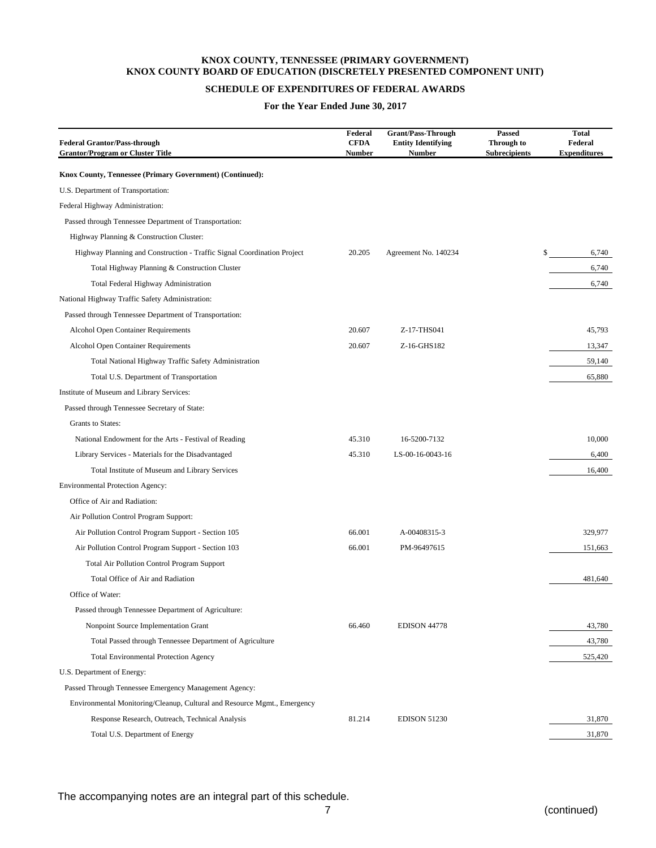## **SCHEDULE OF EXPENDITURES OF FEDERAL AWARDS**

### **For the Year Ended June 30, 2017**

| <b>Federal Grantor/Pass-through</b><br><b>Grantor/Program or Cluster Title</b> | Federal<br><b>CFDA</b><br><b>Number</b> | <b>Grant/Pass-Through</b><br><b>Entity Identifying</b><br><b>Number</b> | <b>Passed</b><br>Through to<br><b>Subrecipients</b> | <b>Total</b><br>Federal<br><b>Expenditures</b> |
|--------------------------------------------------------------------------------|-----------------------------------------|-------------------------------------------------------------------------|-----------------------------------------------------|------------------------------------------------|
| Knox County, Tennessee (Primary Government) (Continued):                       |                                         |                                                                         |                                                     |                                                |
| U.S. Department of Transportation:                                             |                                         |                                                                         |                                                     |                                                |
| Federal Highway Administration:                                                |                                         |                                                                         |                                                     |                                                |
| Passed through Tennessee Department of Transportation:                         |                                         |                                                                         |                                                     |                                                |
| Highway Planning & Construction Cluster:                                       |                                         |                                                                         |                                                     |                                                |
| Highway Planning and Construction - Traffic Signal Coordination Project        | 20.205                                  | Agreement No. 140234                                                    | \$                                                  | 6,740                                          |
| Total Highway Planning & Construction Cluster                                  |                                         |                                                                         |                                                     | 6,740                                          |
| Total Federal Highway Administration                                           |                                         |                                                                         |                                                     | 6,740                                          |
| National Highway Traffic Safety Administration:                                |                                         |                                                                         |                                                     |                                                |
| Passed through Tennessee Department of Transportation:                         |                                         |                                                                         |                                                     |                                                |
| Alcohol Open Container Requirements                                            | 20.607                                  | Z-17-THS041                                                             |                                                     | 45,793                                         |
| Alcohol Open Container Requirements                                            | 20.607                                  | Z-16-GHS182                                                             |                                                     | 13,347                                         |
| Total National Highway Traffic Safety Administration                           |                                         |                                                                         |                                                     | 59,140                                         |
| Total U.S. Department of Transportation                                        |                                         |                                                                         |                                                     | 65,880                                         |
| Institute of Museum and Library Services:                                      |                                         |                                                                         |                                                     |                                                |
| Passed through Tennessee Secretary of State:                                   |                                         |                                                                         |                                                     |                                                |
| Grants to States:                                                              |                                         |                                                                         |                                                     |                                                |
| National Endowment for the Arts - Festival of Reading                          | 45.310                                  | 16-5200-7132                                                            |                                                     | 10,000                                         |
| Library Services - Materials for the Disadvantaged                             | 45.310                                  | LS-00-16-0043-16                                                        |                                                     | 6,400                                          |
| Total Institute of Museum and Library Services                                 |                                         |                                                                         |                                                     | 16,400                                         |
| <b>Environmental Protection Agency:</b>                                        |                                         |                                                                         |                                                     |                                                |
| Office of Air and Radiation:                                                   |                                         |                                                                         |                                                     |                                                |
| Air Pollution Control Program Support:                                         |                                         |                                                                         |                                                     |                                                |
| Air Pollution Control Program Support - Section 105                            | 66.001                                  | A-00408315-3                                                            |                                                     | 329,977                                        |
| Air Pollution Control Program Support - Section 103                            | 66.001                                  | PM-96497615                                                             |                                                     | 151,663                                        |
| <b>Total Air Pollution Control Program Support</b>                             |                                         |                                                                         |                                                     |                                                |
| Total Office of Air and Radiation                                              |                                         |                                                                         |                                                     | 481,640                                        |
| Office of Water:                                                               |                                         |                                                                         |                                                     |                                                |
| Passed through Tennessee Department of Agriculture:                            |                                         |                                                                         |                                                     |                                                |
| Nonpoint Source Implementation Grant                                           | 66.460                                  | EDISON 44778                                                            |                                                     | 43,780                                         |
| Total Passed through Tennessee Department of Agriculture                       |                                         |                                                                         |                                                     | 43,780                                         |
| <b>Total Environmental Protection Agency</b>                                   |                                         |                                                                         |                                                     | 525,420                                        |
| U.S. Department of Energy:                                                     |                                         |                                                                         |                                                     |                                                |
| Passed Through Tennessee Emergency Management Agency:                          |                                         |                                                                         |                                                     |                                                |
| Environmental Monitoring/Cleanup, Cultural and Resource Mgmt., Emergency       |                                         |                                                                         |                                                     |                                                |
| Response Research, Outreach, Technical Analysis                                | 81.214                                  | <b>EDISON 51230</b>                                                     |                                                     | 31,870                                         |
| Total U.S. Department of Energy                                                |                                         |                                                                         |                                                     | 31,870                                         |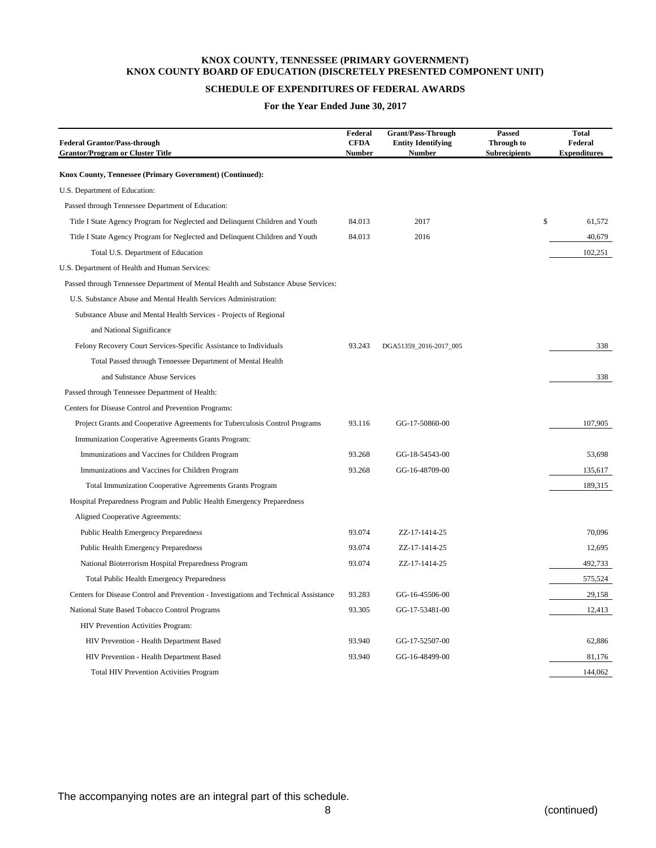## **SCHEDULE OF EXPENDITURES OF FEDERAL AWARDS**

### **For the Year Ended June 30, 2017**

| <b>Federal Grantor/Pass-through</b><br><b>Grantor/Program or Cluster Title</b>       | Federal<br><b>CFDA</b><br><b>Number</b> | <b>Grant/Pass-Through</b><br><b>Entity Identifying</b><br><b>Number</b> | <b>Passed</b><br>Through to<br><b>Subrecipients</b> | Total<br>Federal<br><b>Expenditures</b> |
|--------------------------------------------------------------------------------------|-----------------------------------------|-------------------------------------------------------------------------|-----------------------------------------------------|-----------------------------------------|
| Knox County, Tennessee (Primary Government) (Continued):                             |                                         |                                                                         |                                                     |                                         |
| U.S. Department of Education:                                                        |                                         |                                                                         |                                                     |                                         |
| Passed through Tennessee Department of Education:                                    |                                         |                                                                         |                                                     |                                         |
| Title I State Agency Program for Neglected and Delinquent Children and Youth         | 84.013                                  | 2017                                                                    |                                                     | \$<br>61,572                            |
| Title I State Agency Program for Neglected and Delinquent Children and Youth         | 84.013                                  | 2016                                                                    |                                                     | 40,679                                  |
| Total U.S. Department of Education                                                   |                                         |                                                                         |                                                     | 102,251                                 |
| U.S. Department of Health and Human Services:                                        |                                         |                                                                         |                                                     |                                         |
| Passed through Tennessee Department of Mental Health and Substance Abuse Services:   |                                         |                                                                         |                                                     |                                         |
| U.S. Substance Abuse and Mental Health Services Administration:                      |                                         |                                                                         |                                                     |                                         |
| Substance Abuse and Mental Health Services - Projects of Regional                    |                                         |                                                                         |                                                     |                                         |
| and National Significance                                                            |                                         |                                                                         |                                                     |                                         |
| Felony Recovery Court Services-Specific Assistance to Individuals                    | 93.243                                  | DGA51359_2016-2017_005                                                  |                                                     | 338                                     |
| Total Passed through Tennessee Department of Mental Health                           |                                         |                                                                         |                                                     |                                         |
| and Substance Abuse Services                                                         |                                         |                                                                         |                                                     | 338                                     |
| Passed through Tennessee Department of Health:                                       |                                         |                                                                         |                                                     |                                         |
| Centers for Disease Control and Prevention Programs:                                 |                                         |                                                                         |                                                     |                                         |
| Project Grants and Cooperative Agreements for Tuberculosis Control Programs          | 93.116                                  | GG-17-50860-00                                                          |                                                     | 107,905                                 |
| Immunization Cooperative Agreements Grants Program:                                  |                                         |                                                                         |                                                     |                                         |
| Immunizations and Vaccines for Children Program                                      | 93.268                                  | GG-18-54543-00                                                          |                                                     | 53,698                                  |
| Immunizations and Vaccines for Children Program                                      | 93.268                                  | GG-16-48709-00                                                          |                                                     | 135,617                                 |
| Total Immunization Cooperative Agreements Grants Program                             |                                         |                                                                         |                                                     | 189,315                                 |
| Hospital Preparedness Program and Public Health Emergency Preparedness               |                                         |                                                                         |                                                     |                                         |
| Aligned Cooperative Agreements:                                                      |                                         |                                                                         |                                                     |                                         |
| <b>Public Health Emergency Preparedness</b>                                          | 93.074                                  | ZZ-17-1414-25                                                           |                                                     | 70,096                                  |
| Public Health Emergency Preparedness                                                 | 93.074                                  | ZZ-17-1414-25                                                           |                                                     | 12,695                                  |
| National Bioterrorism Hospital Preparedness Program                                  | 93.074                                  | ZZ-17-1414-25                                                           |                                                     | 492,733                                 |
| Total Public Health Emergency Preparedness                                           |                                         |                                                                         |                                                     | 575,524                                 |
| Centers for Disease Control and Prevention - Investigations and Technical Assistance | 93.283                                  | GG-16-45506-00                                                          |                                                     | 29,158                                  |
| National State Based Tobacco Control Programs                                        | 93.305                                  | GG-17-53481-00                                                          |                                                     | 12,413                                  |
| HIV Prevention Activities Program:                                                   |                                         |                                                                         |                                                     |                                         |
| HIV Prevention - Health Department Based                                             | 93.940                                  | GG-17-52507-00                                                          |                                                     | 62,886                                  |
| HIV Prevention - Health Department Based                                             | 93.940                                  | GG-16-48499-00                                                          |                                                     | 81,176                                  |
| <b>Total HIV Prevention Activities Program</b>                                       |                                         |                                                                         |                                                     | 144,062                                 |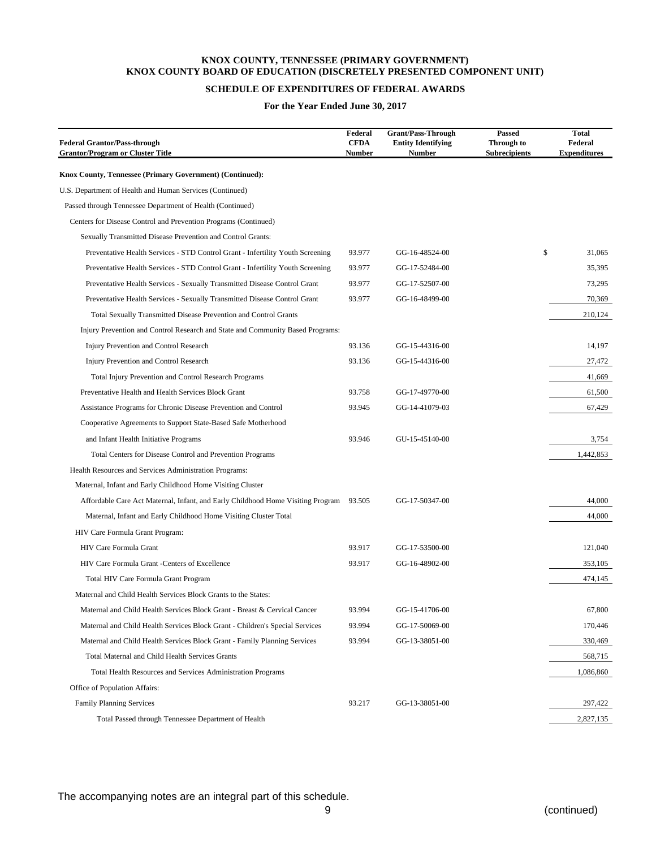## **SCHEDULE OF EXPENDITURES OF FEDERAL AWARDS**

### **For the Year Ended June 30, 2017**

| <b>Federal Grantor/Pass-through</b><br><b>Grantor/Program or Cluster Title</b>         | Federal<br><b>CFDA</b><br>Number | <b>Grant/Pass-Through</b><br><b>Entity Identifying</b><br><b>Number</b> | <b>Passed</b><br>Through to<br><b>Subrecipients</b> | <b>Total</b><br>Federal<br><b>Expenditures</b> |
|----------------------------------------------------------------------------------------|----------------------------------|-------------------------------------------------------------------------|-----------------------------------------------------|------------------------------------------------|
| Knox County, Tennessee (Primary Government) (Continued):                               |                                  |                                                                         |                                                     |                                                |
| U.S. Department of Health and Human Services (Continued)                               |                                  |                                                                         |                                                     |                                                |
| Passed through Tennessee Department of Health (Continued)                              |                                  |                                                                         |                                                     |                                                |
| Centers for Disease Control and Prevention Programs (Continued)                        |                                  |                                                                         |                                                     |                                                |
| Sexually Transmitted Disease Prevention and Control Grants:                            |                                  |                                                                         |                                                     |                                                |
| Preventative Health Services - STD Control Grant - Infertility Youth Screening         | 93.977                           | GG-16-48524-00                                                          | \$                                                  | 31,065                                         |
| Preventative Health Services - STD Control Grant - Infertility Youth Screening         | 93.977                           | GG-17-52484-00                                                          |                                                     | 35,395                                         |
| Preventative Health Services - Sexually Transmitted Disease Control Grant              | 93.977                           | GG-17-52507-00                                                          |                                                     | 73,295                                         |
| Preventative Health Services - Sexually Transmitted Disease Control Grant              | 93.977                           | GG-16-48499-00                                                          |                                                     | 70,369                                         |
| Total Sexually Transmitted Disease Prevention and Control Grants                       |                                  |                                                                         |                                                     | 210,124                                        |
| Injury Prevention and Control Research and State and Community Based Programs:         |                                  |                                                                         |                                                     |                                                |
| Injury Prevention and Control Research                                                 | 93.136                           | GG-15-44316-00                                                          |                                                     | 14,197                                         |
| Injury Prevention and Control Research                                                 | 93.136                           | GG-15-44316-00                                                          |                                                     | 27,472                                         |
| Total Injury Prevention and Control Research Programs                                  |                                  |                                                                         |                                                     | 41,669                                         |
| Preventative Health and Health Services Block Grant                                    | 93.758                           | GG-17-49770-00                                                          |                                                     | 61,500                                         |
| Assistance Programs for Chronic Disease Prevention and Control                         | 93.945                           | GG-14-41079-03                                                          |                                                     | 67,429                                         |
| Cooperative Agreements to Support State-Based Safe Motherhood                          |                                  |                                                                         |                                                     |                                                |
| and Infant Health Initiative Programs                                                  | 93.946                           | GU-15-45140-00                                                          |                                                     | 3,754                                          |
| Total Centers for Disease Control and Prevention Programs                              |                                  |                                                                         |                                                     | 1,442,853                                      |
| Health Resources and Services Administration Programs:                                 |                                  |                                                                         |                                                     |                                                |
| Maternal, Infant and Early Childhood Home Visiting Cluster                             |                                  |                                                                         |                                                     |                                                |
| Affordable Care Act Maternal, Infant, and Early Childhood Home Visiting Program 93.505 |                                  | GG-17-50347-00                                                          |                                                     | 44,000                                         |
| Maternal, Infant and Early Childhood Home Visiting Cluster Total                       |                                  |                                                                         |                                                     | 44,000                                         |
| HIV Care Formula Grant Program:                                                        |                                  |                                                                         |                                                     |                                                |
| <b>HIV Care Formula Grant</b>                                                          | 93.917                           | GG-17-53500-00                                                          |                                                     | 121,040                                        |
| HIV Care Formula Grant -Centers of Excellence                                          | 93.917                           | GG-16-48902-00                                                          |                                                     | 353,105                                        |
| Total HIV Care Formula Grant Program                                                   |                                  |                                                                         |                                                     | 474,145                                        |
| Maternal and Child Health Services Block Grants to the States:                         |                                  |                                                                         |                                                     |                                                |
| Maternal and Child Health Services Block Grant - Breast & Cervical Cancer              | 93.994                           | GG-15-41706-00                                                          |                                                     | 67,800                                         |
| Maternal and Child Health Services Block Grant - Children's Special Services           | 93.994                           | GG-17-50069-00                                                          |                                                     | 170,446                                        |
| Maternal and Child Health Services Block Grant - Family Planning Services              | 93.994                           | GG-13-38051-00                                                          |                                                     | 330,469                                        |
| Total Maternal and Child Health Services Grants                                        |                                  |                                                                         |                                                     | 568,715                                        |
| Total Health Resources and Services Administration Programs                            |                                  |                                                                         |                                                     | 1,086,860                                      |
| Office of Population Affairs:                                                          |                                  |                                                                         |                                                     |                                                |
| <b>Family Planning Services</b>                                                        | 93.217                           | GG-13-38051-00                                                          |                                                     | 297,422                                        |
| Total Passed through Tennessee Department of Health                                    |                                  |                                                                         |                                                     | 2,827,135                                      |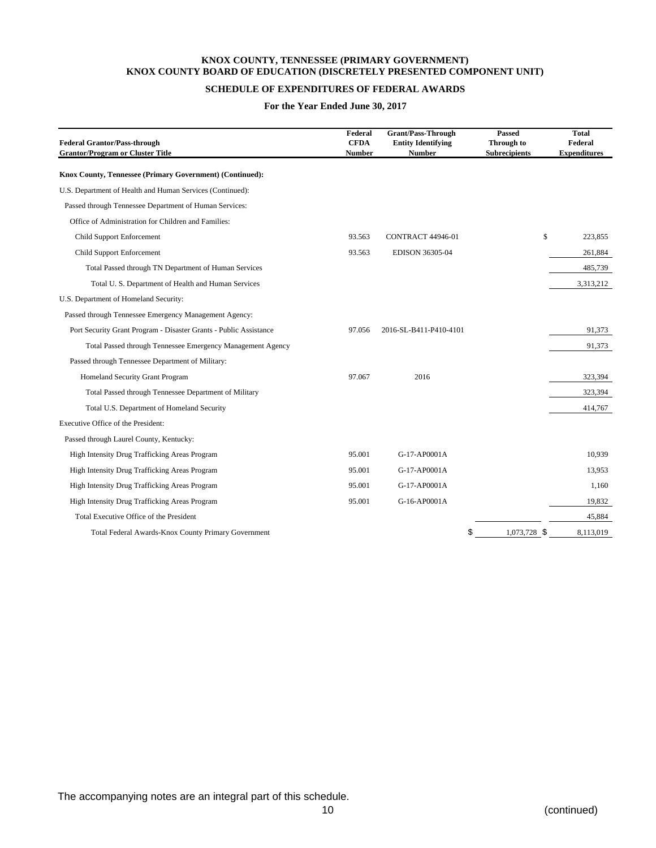## **SCHEDULE OF EXPENDITURES OF FEDERAL AWARDS**

**For the Year Ended June 30, 2017**

| <b>Federal Grantor/Pass-through</b>                               | Federal<br><b>CFDA</b> | <b>Grant/Pass-Through</b><br><b>Entity Identifying</b> | <b>Passed</b><br>Through to | <b>Total</b><br>Federal |
|-------------------------------------------------------------------|------------------------|--------------------------------------------------------|-----------------------------|-------------------------|
| <b>Grantor/Program or Cluster Title</b>                           | <b>Number</b>          | <b>Number</b>                                          | <b>Subrecipients</b>        | <b>Expenditures</b>     |
| Knox County, Tennessee (Primary Government) (Continued):          |                        |                                                        |                             |                         |
| U.S. Department of Health and Human Services (Continued):         |                        |                                                        |                             |                         |
| Passed through Tennessee Department of Human Services:            |                        |                                                        |                             |                         |
| Office of Administration for Children and Families:               |                        |                                                        |                             |                         |
| <b>Child Support Enforcement</b>                                  | 93.563                 | <b>CONTRACT 44946-01</b>                               | \$                          | 223,855                 |
| <b>Child Support Enforcement</b>                                  | 93.563                 | EDISON 36305-04                                        |                             | 261,884                 |
| Total Passed through TN Department of Human Services              |                        |                                                        |                             | 485,739                 |
| Total U.S. Department of Health and Human Services                |                        |                                                        |                             | 3,313,212               |
| U.S. Department of Homeland Security:                             |                        |                                                        |                             |                         |
| Passed through Tennessee Emergency Management Agency:             |                        |                                                        |                             |                         |
| Port Security Grant Program - Disaster Grants - Public Assistance | 97.056                 | 2016-SL-B411-P410-4101                                 |                             | 91,373                  |
| Total Passed through Tennessee Emergency Management Agency        |                        |                                                        |                             | 91,373                  |
| Passed through Tennessee Department of Military:                  |                        |                                                        |                             |                         |
| Homeland Security Grant Program                                   | 97.067                 | 2016                                                   |                             | 323,394                 |
| Total Passed through Tennessee Department of Military             |                        |                                                        |                             | 323,394                 |
| Total U.S. Department of Homeland Security                        |                        |                                                        |                             | 414,767                 |
| Executive Office of the President:                                |                        |                                                        |                             |                         |
| Passed through Laurel County, Kentucky:                           |                        |                                                        |                             |                         |
| High Intensity Drug Trafficking Areas Program                     | 95.001                 | G-17-AP0001A                                           |                             | 10,939                  |
| High Intensity Drug Trafficking Areas Program                     | 95.001                 | G-17-AP0001A                                           |                             | 13,953                  |
| High Intensity Drug Trafficking Areas Program                     | 95.001                 | G-17-AP0001A                                           |                             | 1,160                   |
| High Intensity Drug Trafficking Areas Program                     | 95.001                 | G-16-AP0001A                                           |                             | 19,832                  |
| Total Executive Office of the President                           |                        |                                                        |                             | 45,884                  |
| Total Federal Awards-Knox County Primary Government               |                        |                                                        | \$<br>1,073,728 \$          | 8,113,019               |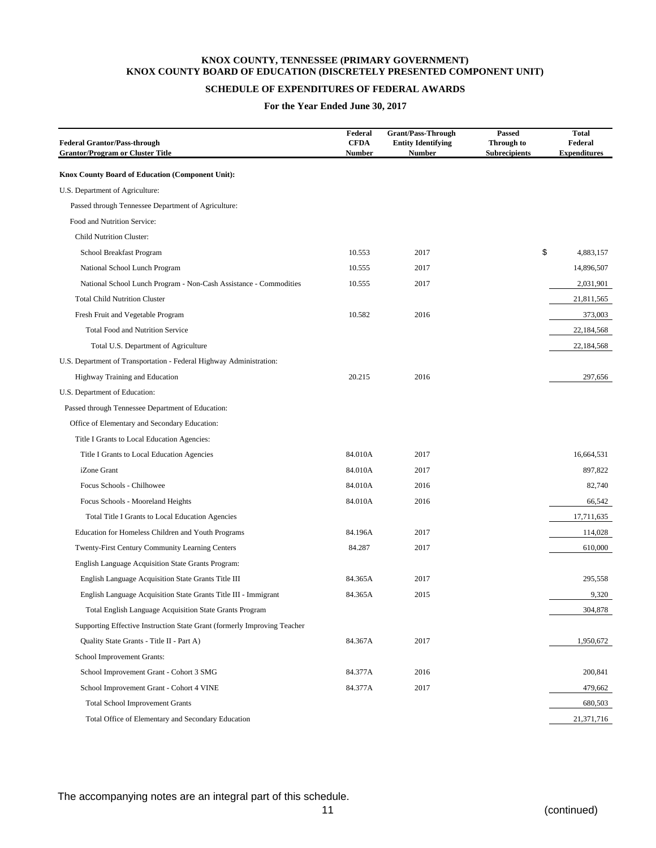## **SCHEDULE OF EXPENDITURES OF FEDERAL AWARDS**

### **For the Year Ended June 30, 2017**

| <b>Federal Grantor/Pass-through</b><br><b>Grantor/Program or Cluster Title</b> | Federal<br><b>CFDA</b><br><b>Number</b> | <b>Grant/Pass-Through</b><br><b>Entity Identifying</b><br><b>Number</b> | <b>Passed</b><br>Through to<br><b>Subrecipients</b> | <b>Total</b><br>Federal<br><b>Expenditures</b> |
|--------------------------------------------------------------------------------|-----------------------------------------|-------------------------------------------------------------------------|-----------------------------------------------------|------------------------------------------------|
| Knox County Board of Education (Component Unit):                               |                                         |                                                                         |                                                     |                                                |
| U.S. Department of Agriculture:                                                |                                         |                                                                         |                                                     |                                                |
| Passed through Tennessee Department of Agriculture:                            |                                         |                                                                         |                                                     |                                                |
| Food and Nutrition Service:                                                    |                                         |                                                                         |                                                     |                                                |
| Child Nutrition Cluster:                                                       |                                         |                                                                         |                                                     |                                                |
| School Breakfast Program                                                       | 10.553                                  | 2017                                                                    | \$                                                  | 4,883,157                                      |
| National School Lunch Program                                                  | 10.555                                  | 2017                                                                    |                                                     | 14,896,507                                     |
| National School Lunch Program - Non-Cash Assistance - Commodities              | 10.555                                  | 2017                                                                    |                                                     | 2,031,901                                      |
| <b>Total Child Nutrition Cluster</b>                                           |                                         |                                                                         |                                                     | 21,811,565                                     |
| Fresh Fruit and Vegetable Program                                              | 10.582                                  | 2016                                                                    |                                                     | 373,003                                        |
| <b>Total Food and Nutrition Service</b>                                        |                                         |                                                                         |                                                     | 22,184,568                                     |
| Total U.S. Department of Agriculture                                           |                                         |                                                                         |                                                     | 22,184,568                                     |
| U.S. Department of Transportation - Federal Highway Administration:            |                                         |                                                                         |                                                     |                                                |
| Highway Training and Education                                                 | 20.215                                  | 2016                                                                    |                                                     | 297,656                                        |
| U.S. Department of Education:                                                  |                                         |                                                                         |                                                     |                                                |
| Passed through Tennessee Department of Education:                              |                                         |                                                                         |                                                     |                                                |
| Office of Elementary and Secondary Education:                                  |                                         |                                                                         |                                                     |                                                |
| Title I Grants to Local Education Agencies:                                    |                                         |                                                                         |                                                     |                                                |
| Title I Grants to Local Education Agencies                                     | 84.010A                                 | 2017                                                                    |                                                     | 16,664,531                                     |
| iZone Grant                                                                    | 84.010A                                 | 2017                                                                    |                                                     | 897,822                                        |
| Focus Schools - Chilhowee                                                      | 84.010A                                 | 2016                                                                    |                                                     | 82,740                                         |
| Focus Schools - Mooreland Heights                                              | 84.010A                                 | 2016                                                                    |                                                     | 66,542                                         |
| Total Title I Grants to Local Education Agencies                               |                                         |                                                                         |                                                     | 17,711,635                                     |
| Education for Homeless Children and Youth Programs                             | 84.196A                                 | 2017                                                                    |                                                     | 114,028                                        |
| Twenty-First Century Community Learning Centers                                | 84.287                                  | 2017                                                                    |                                                     | 610,000                                        |
| English Language Acquisition State Grants Program:                             |                                         |                                                                         |                                                     |                                                |
| English Language Acquisition State Grants Title III                            | 84.365A                                 | 2017                                                                    |                                                     | 295,558                                        |
| English Language Acquisition State Grants Title III - Immigrant                | 84.365A                                 | 2015                                                                    |                                                     | 9,320                                          |
| Total English Language Acquisition State Grants Program                        |                                         |                                                                         |                                                     | 304,878                                        |
| Supporting Effective Instruction State Grant (formerly Improving Teacher       |                                         |                                                                         |                                                     |                                                |
| Quality State Grants - Title II - Part A)                                      | 84.367A                                 | 2017                                                                    |                                                     | 1,950,672                                      |
| School Improvement Grants:                                                     |                                         |                                                                         |                                                     |                                                |
| School Improvement Grant - Cohort 3 SMG                                        | 84.377A                                 | 2016                                                                    |                                                     | 200,841                                        |
| School Improvement Grant - Cohort 4 VINE                                       | 84.377A                                 | 2017                                                                    |                                                     | 479,662                                        |
| <b>Total School Improvement Grants</b>                                         |                                         |                                                                         |                                                     | 680,503                                        |
| Total Office of Elementary and Secondary Education                             |                                         |                                                                         |                                                     | 21,371,716                                     |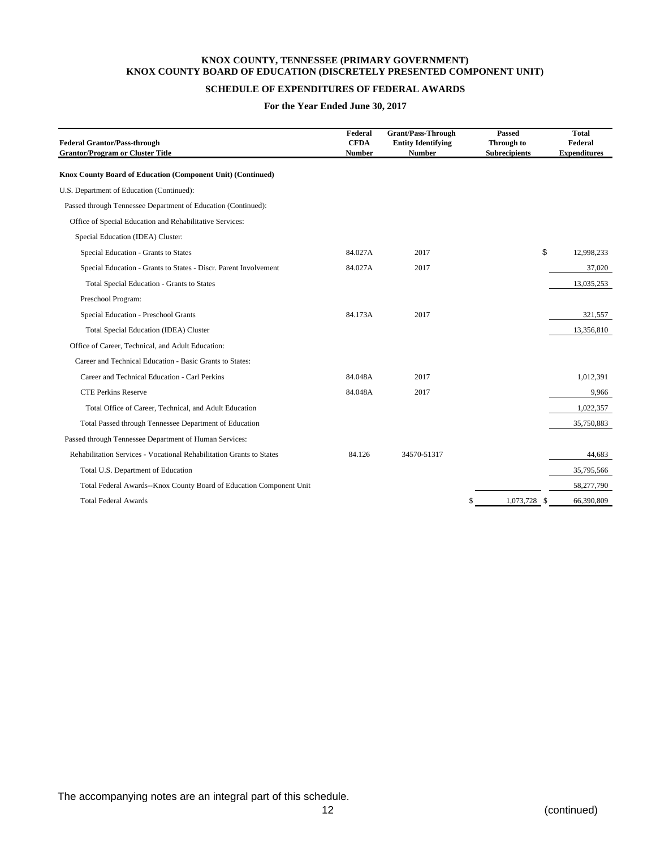## **SCHEDULE OF EXPENDITURES OF FEDERAL AWARDS**

### **For the Year Ended June 30, 2017**

| <b>Federal Grantor/Pass-through</b><br><b>Grantor/Program or Cluster Title</b> | Federal<br><b>CFDA</b><br><b>Number</b> | <b>Grant/Pass-Through</b><br><b>Entity Identifying</b><br><b>Number</b> | Passed<br>Through to<br><b>Subrecipients</b> | <b>Total</b><br>Federal<br><b>Expenditures</b> |
|--------------------------------------------------------------------------------|-----------------------------------------|-------------------------------------------------------------------------|----------------------------------------------|------------------------------------------------|
| Knox County Board of Education (Component Unit) (Continued)                    |                                         |                                                                         |                                              |                                                |
| U.S. Department of Education (Continued):                                      |                                         |                                                                         |                                              |                                                |
| Passed through Tennessee Department of Education (Continued):                  |                                         |                                                                         |                                              |                                                |
| Office of Special Education and Rehabilitative Services:                       |                                         |                                                                         |                                              |                                                |
| Special Education (IDEA) Cluster:                                              |                                         |                                                                         |                                              |                                                |
| Special Education - Grants to States                                           | 84.027A                                 | 2017                                                                    | \$                                           | 12,998,233                                     |
| Special Education - Grants to States - Discr. Parent Involvement               | 84.027A                                 | 2017                                                                    |                                              | 37,020                                         |
| Total Special Education - Grants to States                                     |                                         |                                                                         |                                              | 13,035,253                                     |
| Preschool Program:                                                             |                                         |                                                                         |                                              |                                                |
| Special Education - Preschool Grants                                           | 84.173A                                 | 2017                                                                    |                                              | 321.557                                        |
| Total Special Education (IDEA) Cluster                                         |                                         |                                                                         |                                              | 13,356,810                                     |
| Office of Career, Technical, and Adult Education:                              |                                         |                                                                         |                                              |                                                |
| Career and Technical Education - Basic Grants to States:                       |                                         |                                                                         |                                              |                                                |
| Career and Technical Education - Carl Perkins                                  | 84.048A                                 | 2017                                                                    |                                              | 1,012,391                                      |
| <b>CTE Perkins Reserve</b>                                                     | 84.048A                                 | 2017                                                                    |                                              | 9,966                                          |
| Total Office of Career, Technical, and Adult Education                         |                                         |                                                                         |                                              | 1,022,357                                      |
| Total Passed through Tennessee Department of Education                         |                                         |                                                                         |                                              | 35,750,883                                     |
| Passed through Tennessee Department of Human Services:                         |                                         |                                                                         |                                              |                                                |
| Rehabilitation Services - Vocational Rehabilitation Grants to States           | 84.126                                  | 34570-51317                                                             |                                              | 44,683                                         |
| Total U.S. Department of Education                                             |                                         |                                                                         |                                              | 35,795,566                                     |
| Total Federal Awards--Knox County Board of Education Component Unit            |                                         |                                                                         |                                              | 58,277,790                                     |
| <b>Total Federal Awards</b>                                                    |                                         |                                                                         | 1,073,728 \$<br>\$                           | 66,390,809                                     |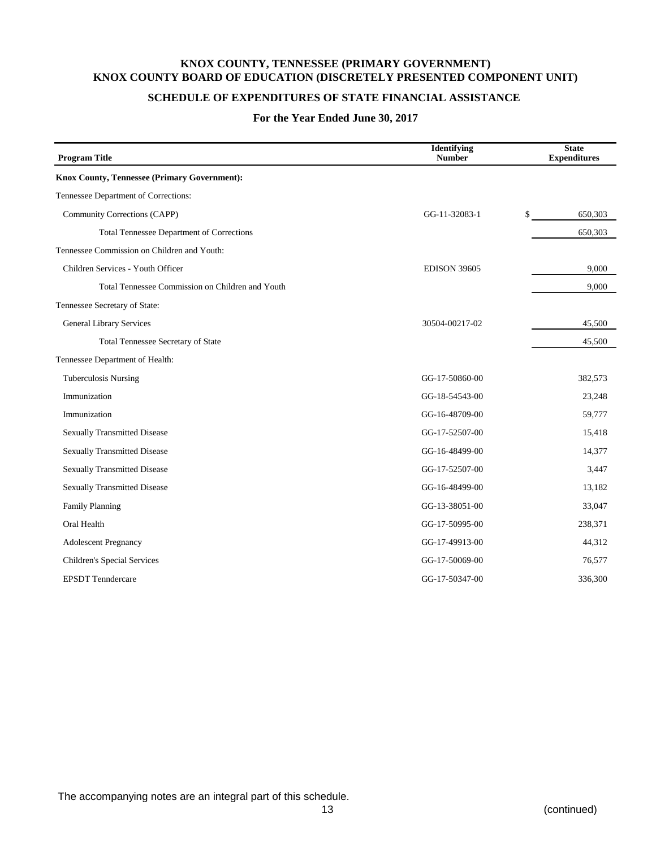# **KNOX COUNTY BOARD OF EDUCATION (DISCRETELY PRESENTED COMPONENT UNIT) KNOX COUNTY, TENNESSEE (PRIMARY GOVERNMENT)**

# **SCHEDULE OF EXPENDITURES OF STATE FINANCIAL ASSISTANCE**

### **For the Year Ended June 30, 2017**

| <b>Program Title</b>                             | <b>Identifying</b><br><b>Number</b> | <b>State</b><br><b>Expenditures</b> |
|--------------------------------------------------|-------------------------------------|-------------------------------------|
| Knox County, Tennessee (Primary Government):     |                                     |                                     |
| Tennessee Department of Corrections:             |                                     |                                     |
| Community Corrections (CAPP)                     | GG-11-32083-1                       | \$<br>650,303                       |
| <b>Total Tennessee Department of Corrections</b> |                                     | 650,303                             |
| Tennessee Commission on Children and Youth:      |                                     |                                     |
| Children Services - Youth Officer                | <b>EDISON 39605</b>                 | 9,000                               |
| Total Tennessee Commission on Children and Youth |                                     | 9,000                               |
| Tennessee Secretary of State:                    |                                     |                                     |
| General Library Services                         | 30504-00217-02                      | 45,500                              |
| Total Tennessee Secretary of State               |                                     | 45,500                              |
| Tennessee Department of Health:                  |                                     |                                     |
| <b>Tuberculosis Nursing</b>                      | GG-17-50860-00                      | 382,573                             |
| Immunization                                     | GG-18-54543-00                      | 23,248                              |
| Immunization                                     | GG-16-48709-00                      | 59,777                              |
| <b>Sexually Transmitted Disease</b>              | GG-17-52507-00                      | 15,418                              |
| <b>Sexually Transmitted Disease</b>              | GG-16-48499-00                      | 14,377                              |
| <b>Sexually Transmitted Disease</b>              | GG-17-52507-00                      | 3,447                               |
| <b>Sexually Transmitted Disease</b>              | GG-16-48499-00                      | 13,182                              |
| <b>Family Planning</b>                           | GG-13-38051-00                      | 33,047                              |
| Oral Health                                      | GG-17-50995-00                      | 238,371                             |
| <b>Adolescent Pregnancy</b>                      | GG-17-49913-00                      | 44,312                              |
| Children's Special Services                      | GG-17-50069-00                      | 76,577                              |
| <b>EPSDT</b> Tenndercare                         | GG-17-50347-00                      | 336,300                             |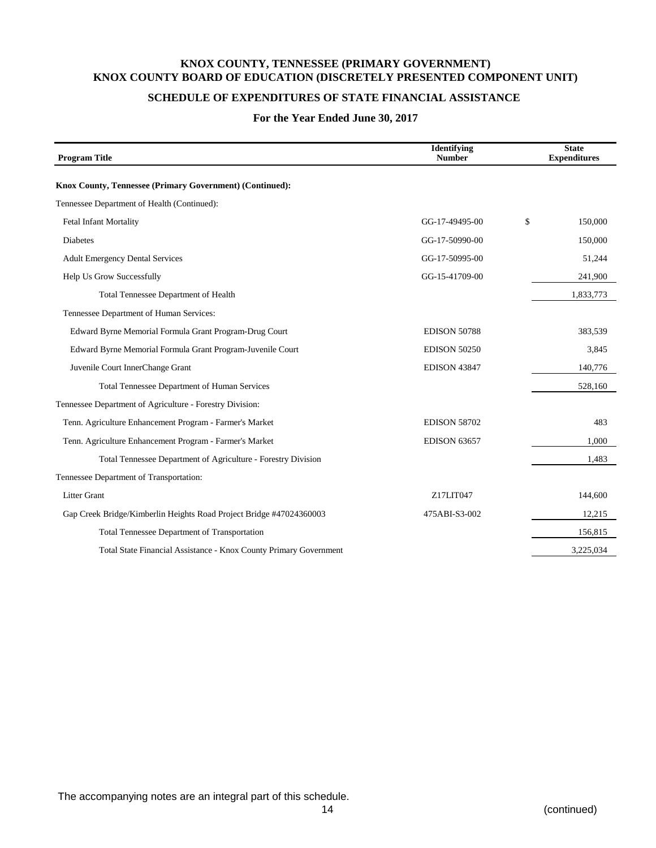# **KNOX COUNTY BOARD OF EDUCATION (DISCRETELY PRESENTED COMPONENT UNIT) KNOX COUNTY, TENNESSEE (PRIMARY GOVERNMENT)**

# **SCHEDULE OF EXPENDITURES OF STATE FINANCIAL ASSISTANCE**

## **For the Year Ended June 30, 2017**

| Identifying<br><b>Number</b><br><b>Program Title</b>                |                     | <b>State</b><br><b>Expenditures</b> |  |
|---------------------------------------------------------------------|---------------------|-------------------------------------|--|
| Knox County, Tennessee (Primary Government) (Continued):            |                     |                                     |  |
| Tennessee Department of Health (Continued):                         |                     |                                     |  |
| Fetal Infant Mortality                                              | GG-17-49495-00      | \$<br>150,000                       |  |
| Diabetes                                                            | GG-17-50990-00      | 150,000                             |  |
| <b>Adult Emergency Dental Services</b>                              | GG-17-50995-00      | 51,244                              |  |
| <b>Help Us Grow Successfully</b>                                    | GG-15-41709-00      | 241,900                             |  |
| Total Tennessee Department of Health                                |                     | 1,833,773                           |  |
| Tennessee Department of Human Services:                             |                     |                                     |  |
| Edward Byrne Memorial Formula Grant Program-Drug Court              | <b>EDISON 50788</b> | 383,539                             |  |
| Edward Byrne Memorial Formula Grant Program-Juvenile Court          | <b>EDISON 50250</b> | 3,845                               |  |
| Juvenile Court InnerChange Grant                                    | <b>EDISON 43847</b> | 140,776                             |  |
| Total Tennessee Department of Human Services                        |                     | 528,160                             |  |
| Tennessee Department of Agriculture - Forestry Division:            |                     |                                     |  |
| Tenn. Agriculture Enhancement Program - Farmer's Market             | <b>EDISON 58702</b> | 483                                 |  |
| Tenn. Agriculture Enhancement Program - Farmer's Market             | <b>EDISON 63657</b> | 1,000                               |  |
| Total Tennessee Department of Agriculture - Forestry Division       |                     | 1,483                               |  |
| Tennessee Department of Transportation:                             |                     |                                     |  |
| <b>Litter Grant</b>                                                 | Z17LIT047           | 144,600                             |  |
| Gap Creek Bridge/Kimberlin Heights Road Project Bridge #47024360003 | 475ABI-S3-002       | 12,215                              |  |
| Total Tennessee Department of Transportation                        |                     | 156,815                             |  |
| Total State Financial Assistance - Knox County Primary Government   |                     | 3,225,034                           |  |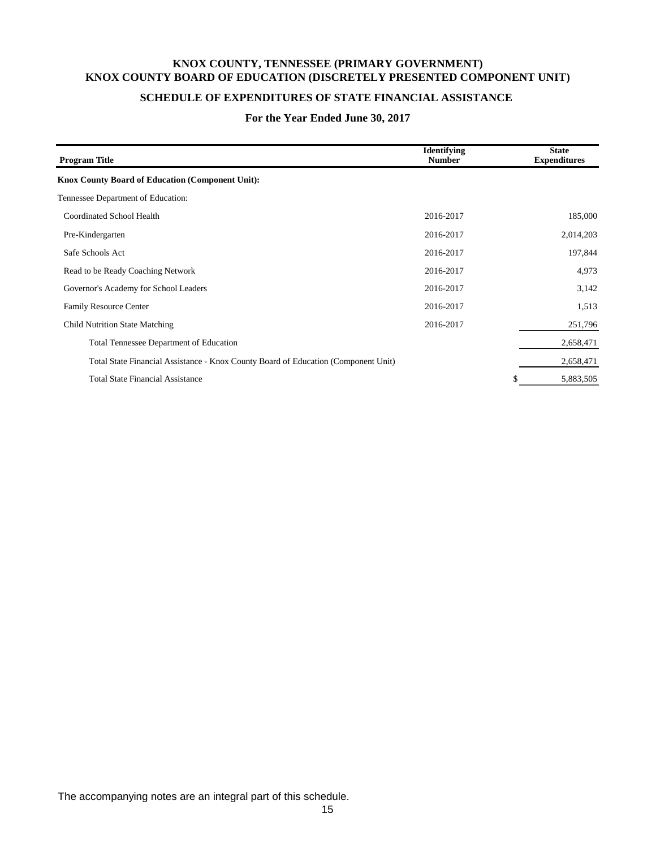# **KNOX COUNTY BOARD OF EDUCATION (DISCRETELY PRESENTED COMPONENT UNIT) KNOX COUNTY, TENNESSEE (PRIMARY GOVERNMENT)**

# **SCHEDULE OF EXPENDITURES OF STATE FINANCIAL ASSISTANCE**

## **For the Year Ended June 30, 2017**

| <b>Program Title</b>                                                               | <b>Identifying</b><br><b>Number</b> | <b>State</b><br><b>Expenditures</b> |
|------------------------------------------------------------------------------------|-------------------------------------|-------------------------------------|
| <b>Knox County Board of Education (Component Unit):</b>                            |                                     |                                     |
| Tennessee Department of Education:                                                 |                                     |                                     |
| Coordinated School Health                                                          | 2016-2017                           | 185,000                             |
| Pre-Kindergarten                                                                   | 2016-2017                           | 2,014,203                           |
| Safe Schools Act                                                                   | 2016-2017                           | 197,844                             |
| Read to be Ready Coaching Network                                                  | 2016-2017                           | 4,973                               |
| Governor's Academy for School Leaders                                              | 2016-2017                           | 3,142                               |
| <b>Family Resource Center</b>                                                      | 2016-2017                           | 1,513                               |
| <b>Child Nutrition State Matching</b>                                              | 2016-2017                           | 251,796                             |
| <b>Total Tennessee Department of Education</b>                                     |                                     | 2,658,471                           |
| Total State Financial Assistance - Knox County Board of Education (Component Unit) |                                     | 2,658,471                           |
| <b>Total State Financial Assistance</b>                                            |                                     | 5,883,505                           |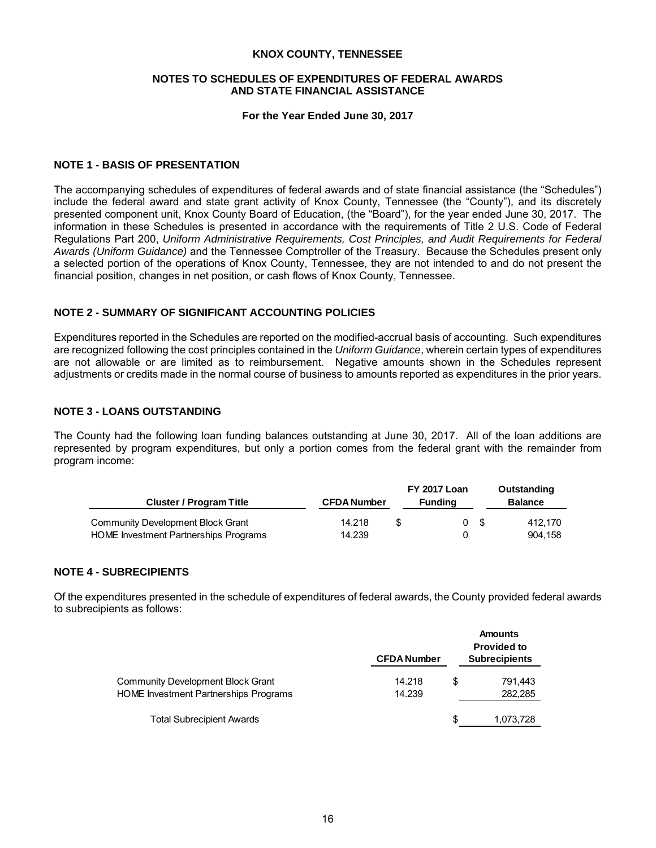#### **NOTES TO SCHEDULES OF EXPENDITURES OF FEDERAL AWARDS AND STATE FINANCIAL ASSISTANCE**

#### **For the Year Ended June 30, 2017**

#### **NOTE 1 - BASIS OF PRESENTATION**

The accompanying schedules of expenditures of federal awards and of state financial assistance (the "Schedules") include the federal award and state grant activity of Knox County, Tennessee (the "County"), and its discretely presented component unit, Knox County Board of Education, (the "Board"), for the year ended June 30, 2017. The information in these Schedules is presented in accordance with the requirements of Title 2 U.S. Code of Federal Regulations Part 200, *Uniform Administrative Requirements, Cost Principles, and Audit Requirements for Federal Awards (Uniform Guidance)* and the Tennessee Comptroller of the Treasury. Because the Schedules present only a selected portion of the operations of Knox County, Tennessee, they are not intended to and do not present the financial position, changes in net position, or cash flows of Knox County, Tennessee.

### **NOTE 2 - SUMMARY OF SIGNIFICANT ACCOUNTING POLICIES**

Expenditures reported in the Schedules are reported on the modified-accrual basis of accounting. Such expenditures are recognized following the cost principles contained in the *Uniform Guidance*, wherein certain types of expenditures are not allowable or are limited as to reimbursement. Negative amounts shown in the Schedules represent adjustments or credits made in the normal course of business to amounts reported as expenditures in the prior years.

### **NOTE 3 - LOANS OUTSTANDING**

The County had the following loan funding balances outstanding at June 30, 2017. All of the loan additions are represented by program expenditures, but only a portion comes from the federal grant with the remainder from program income:

|                                       |                    | <b>FY 2017 Loan</b> |      | Outstanding    |
|---------------------------------------|--------------------|---------------------|------|----------------|
| <b>Cluster / Program Title</b>        | <b>CFDA Number</b> | <b>Funding</b>      |      | <b>Balance</b> |
| Community Development Block Grant     | 14.218             |                     | 0 \$ | 412.170        |
| HOME Investment Partnerships Programs | 14.239             |                     |      | 904.158        |

#### **NOTE 4 - SUBRECIPIENTS**

Of the expenditures presented in the schedule of expenditures of federal awards, the County provided federal awards to subrecipients as follows:

|                                              | <b>CFDA Number</b> |   | <b>Amounts</b><br><b>Provided to</b><br><b>Subrecipients</b> |
|----------------------------------------------|--------------------|---|--------------------------------------------------------------|
| Community Development Block Grant            | 14.218             | S | 791,443                                                      |
| <b>HOME Investment Partnerships Programs</b> | 14.239             |   | 282,285                                                      |
| <b>Total Subrecipient Awards</b>             |                    |   | 1,073,728                                                    |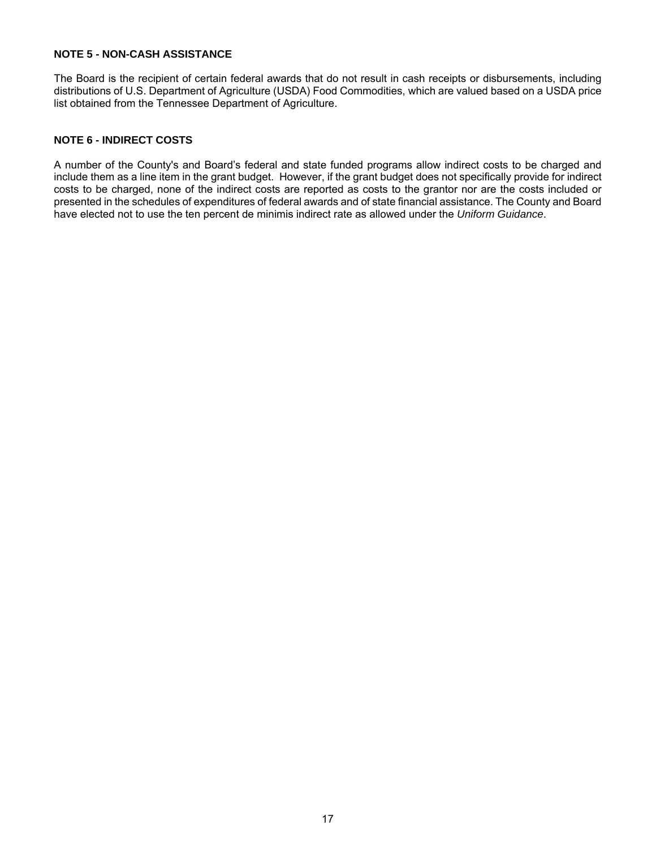### **NOTE 5 - NON-CASH ASSISTANCE**

The Board is the recipient of certain federal awards that do not result in cash receipts or disbursements, including distributions of U.S. Department of Agriculture (USDA) Food Commodities, which are valued based on a USDA price list obtained from the Tennessee Department of Agriculture.

### **NOTE 6 - INDIRECT COSTS**

A number of the County's and Board's federal and state funded programs allow indirect costs to be charged and include them as a line item in the grant budget. However, if the grant budget does not specifically provide for indirect costs to be charged, none of the indirect costs are reported as costs to the grantor nor are the costs included or presented in the schedules of expenditures of federal awards and of state financial assistance. The County and Board have elected not to use the ten percent de minimis indirect rate as allowed under the *Uniform Guidance*.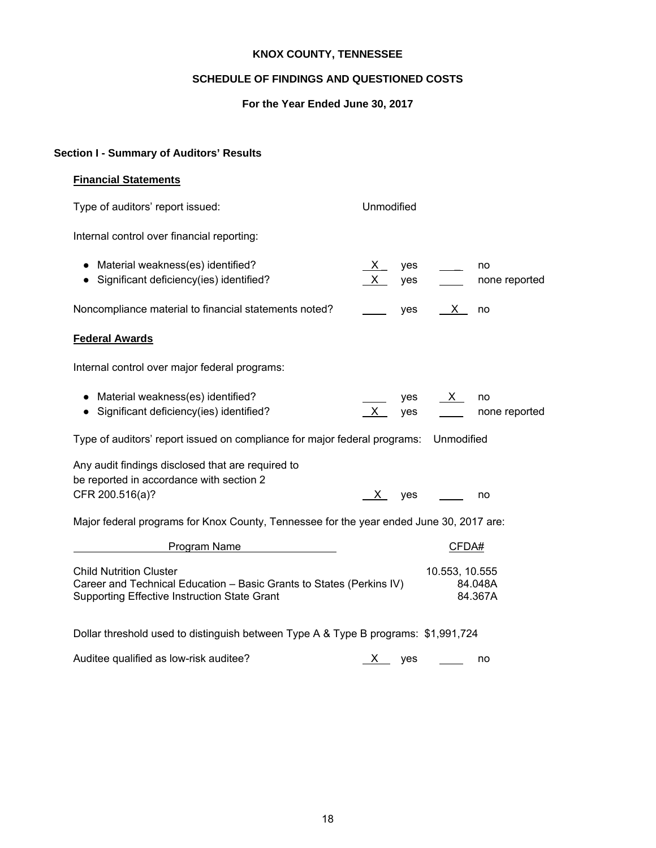### **SCHEDULE OF FINDINGS AND QUESTIONED COSTS**

#### **For the Year Ended June 30, 2017**

#### **Section I - Summary of Auditors' Results**

#### **Financial Statements**

Type of auditors' report issued: Unmodified Internal control over financial reporting: • Material weakness(es) identified? 
<br>
X yes 
one ● Significant deficiency(ies) identified? X yes none reported Noncompliance material to financial statements noted?  $\qquad \qquad \qquad$  yes  $\qquad \times$  no **Federal Awards**  Internal control over major federal programs: • Material weakness(es) identified?  $\qquad \qquad \qquad \qquad \qquad \qquad \qquad \qquad \qquad \qquad \text{yes} \qquad \qquad \text{X} \qquad \text{no}$ ● Significant deficiency(ies) identified? X yes \_ none reported Type of auditors' report issued on compliance for major federal programs: Unmodified Any audit findings disclosed that are required to be reported in accordance with section 2 CFR 200.516(a)? X yes no Major federal programs for Knox County, Tennessee for the year ended June 30, 2017 are: Program Name CFDA# Child Nutrition Cluster 10.553, 10.555 Career and Technical Education – Basic Grants to States (Perkins IV) 84.048A Supporting Effective Instruction State Grant 84.367A Dollar threshold used to distinguish between Type A & Type B programs: \$1,991,724 Auditee qualified as low-risk auditee?  $\overline{X}$  yes  $\overline{X}$  no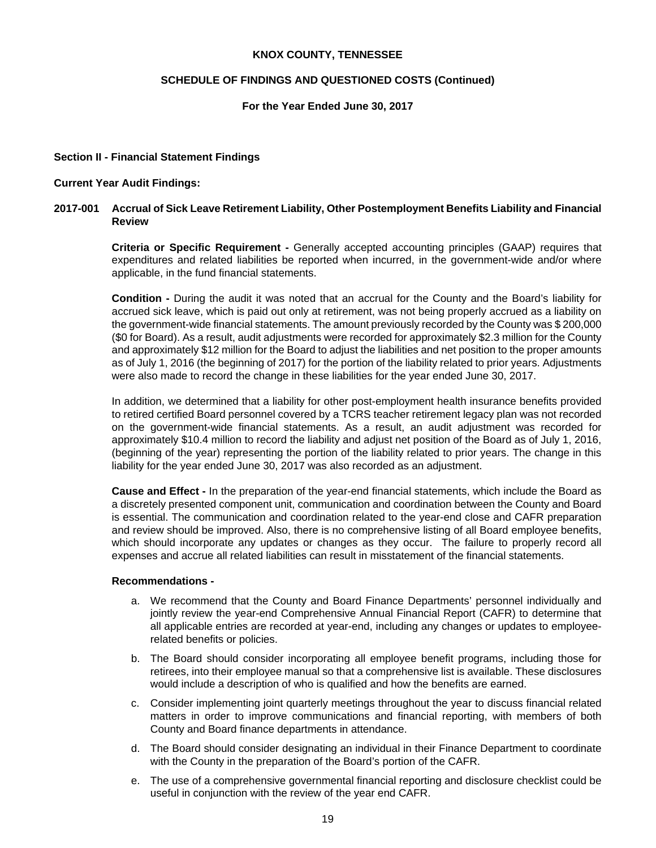#### **SCHEDULE OF FINDINGS AND QUESTIONED COSTS (Continued)**

#### **For the Year Ended June 30, 2017**

#### **Section II - Financial Statement Findings**

#### **Current Year Audit Findings:**

### **2017-001 Accrual of Sick Leave Retirement Liability, Other Postemployment Benefits Liability and Financial Review**

**Criteria or Specific Requirement -** Generally accepted accounting principles (GAAP) requires that expenditures and related liabilities be reported when incurred, in the government-wide and/or where applicable, in the fund financial statements.

**Condition -** During the audit it was noted that an accrual for the County and the Board's liability for accrued sick leave, which is paid out only at retirement, was not being properly accrued as a liability on the government-wide financial statements. The amount previously recorded by the County was \$ 200,000 (\$0 for Board). As a result, audit adjustments were recorded for approximately \$2.3 million for the County and approximately \$12 million for the Board to adjust the liabilities and net position to the proper amounts as of July 1, 2016 (the beginning of 2017) for the portion of the liability related to prior years. Adjustments were also made to record the change in these liabilities for the year ended June 30, 2017.

In addition, we determined that a liability for other post-employment health insurance benefits provided to retired certified Board personnel covered by a TCRS teacher retirement legacy plan was not recorded on the government-wide financial statements. As a result, an audit adjustment was recorded for approximately \$10.4 million to record the liability and adjust net position of the Board as of July 1, 2016, (beginning of the year) representing the portion of the liability related to prior years. The change in this liability for the year ended June 30, 2017 was also recorded as an adjustment.

**Cause and Effect -** In the preparation of the year-end financial statements, which include the Board as a discretely presented component unit, communication and coordination between the County and Board is essential. The communication and coordination related to the year-end close and CAFR preparation and review should be improved. Also, there is no comprehensive listing of all Board employee benefits, which should incorporate any updates or changes as they occur. The failure to properly record all expenses and accrue all related liabilities can result in misstatement of the financial statements.

#### **Recommendations -**

- a. We recommend that the County and Board Finance Departments' personnel individually and jointly review the year-end Comprehensive Annual Financial Report (CAFR) to determine that all applicable entries are recorded at year-end, including any changes or updates to employeerelated benefits or policies.
- b. The Board should consider incorporating all employee benefit programs, including those for retirees, into their employee manual so that a comprehensive list is available. These disclosures would include a description of who is qualified and how the benefits are earned.
- c. Consider implementing joint quarterly meetings throughout the year to discuss financial related matters in order to improve communications and financial reporting, with members of both County and Board finance departments in attendance.
- d. The Board should consider designating an individual in their Finance Department to coordinate with the County in the preparation of the Board's portion of the CAFR.
- e. The use of a comprehensive governmental financial reporting and disclosure checklist could be useful in conjunction with the review of the year end CAFR.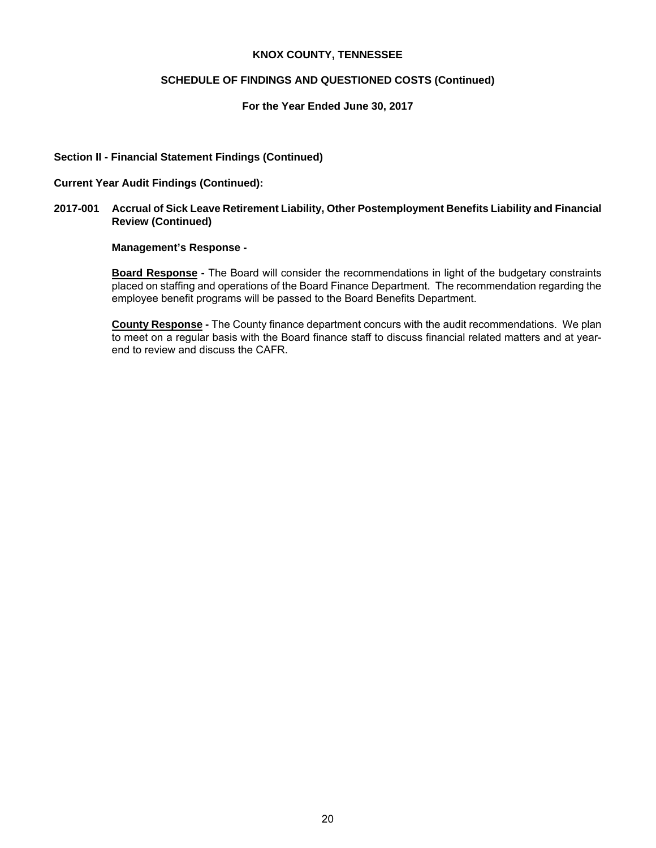### **SCHEDULE OF FINDINGS AND QUESTIONED COSTS (Continued)**

### **For the Year Ended June 30, 2017**

#### **Section II - Financial Statement Findings (Continued)**

#### **Current Year Audit Findings (Continued):**

**2017-001 Accrual of Sick Leave Retirement Liability, Other Postemployment Benefits Liability and Financial Review (Continued)** 

### **Management's Response -**

**Board Response -** The Board will consider the recommendations in light of the budgetary constraints placed on staffing and operations of the Board Finance Department. The recommendation regarding the employee benefit programs will be passed to the Board Benefits Department.

**County Response -** The County finance department concurs with the audit recommendations. We plan to meet on a regular basis with the Board finance staff to discuss financial related matters and at yearend to review and discuss the CAFR.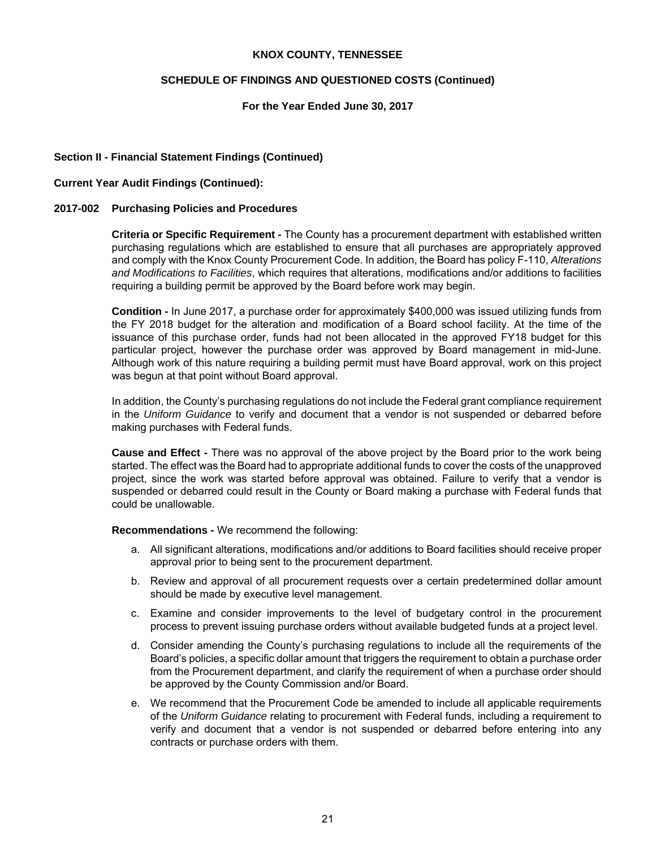### **SCHEDULE OF FINDINGS AND QUESTIONED COSTS (Continued)**

### **For the Year Ended June 30, 2017**

#### **Section II - Financial Statement Findings (Continued)**

#### **Current Year Audit Findings (Continued):**

#### **2017-002 Purchasing Policies and Procedures**

**Criteria or Specific Requirement -** The County has a procurement department with established written purchasing regulations which are established to ensure that all purchases are appropriately approved and comply with the Knox County Procurement Code. In addition, the Board has policy F-110, *Alterations and Modifications to Facilities*, which requires that alterations, modifications and/or additions to facilities requiring a building permit be approved by the Board before work may begin.

**Condition -** In June 2017, a purchase order for approximately \$400,000 was issued utilizing funds from the FY 2018 budget for the alteration and modification of a Board school facility. At the time of the issuance of this purchase order, funds had not been allocated in the approved FY18 budget for this particular project, however the purchase order was approved by Board management in mid-June. Although work of this nature requiring a building permit must have Board approval, work on this project was begun at that point without Board approval.

In addition, the County's purchasing regulations do not include the Federal grant compliance requirement in the *Uniform Guidance* to verify and document that a vendor is not suspended or debarred before making purchases with Federal funds.

**Cause and Effect -** There was no approval of the above project by the Board prior to the work being started. The effect was the Board had to appropriate additional funds to cover the costs of the unapproved project, since the work was started before approval was obtained. Failure to verify that a vendor is suspended or debarred could result in the County or Board making a purchase with Federal funds that could be unallowable.

**Recommendations -** We recommend the following:

- a. All significant alterations, modifications and/or additions to Board facilities should receive proper approval prior to being sent to the procurement department.
- b. Review and approval of all procurement requests over a certain predetermined dollar amount should be made by executive level management.
- c. Examine and consider improvements to the level of budgetary control in the procurement process to prevent issuing purchase orders without available budgeted funds at a project level.
- d. Consider amending the County's purchasing regulations to include all the requirements of the Board's policies, a specific dollar amount that triggers the requirement to obtain a purchase order from the Procurement department, and clarify the requirement of when a purchase order should be approved by the County Commission and/or Board.
- e. We recommend that the Procurement Code be amended to include all applicable requirements of the *Uniform Guidance* relating to procurement with Federal funds, including a requirement to verify and document that a vendor is not suspended or debarred before entering into any contracts or purchase orders with them.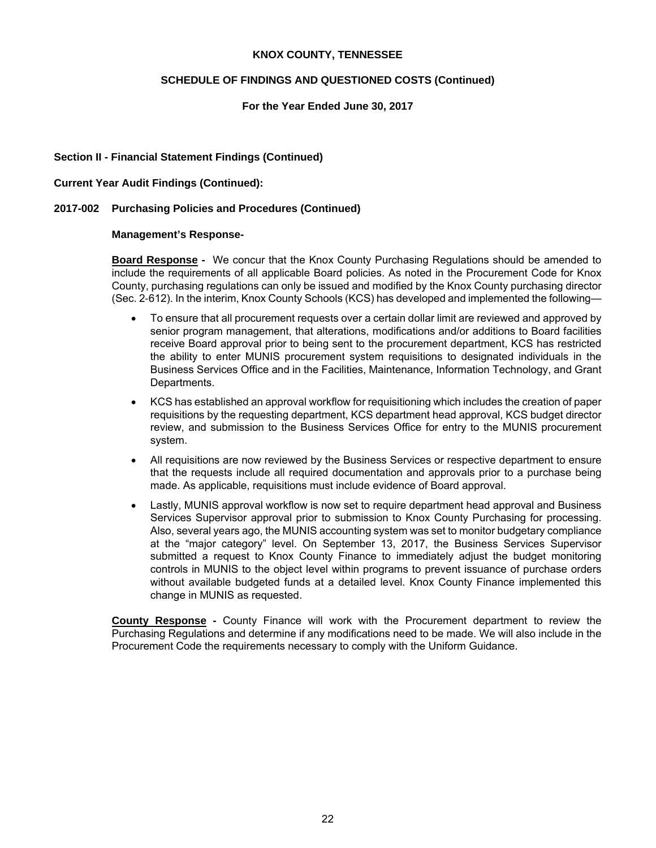### **SCHEDULE OF FINDINGS AND QUESTIONED COSTS (Continued)**

### **For the Year Ended June 30, 2017**

#### **Section II - Financial Statement Findings (Continued)**

#### **Current Year Audit Findings (Continued):**

#### **2017-002 Purchasing Policies and Procedures (Continued)**

#### **Management's Response-**

**Board Response -** We concur that the Knox County Purchasing Regulations should be amended to include the requirements of all applicable Board policies. As noted in the Procurement Code for Knox County, purchasing regulations can only be issued and modified by the Knox County purchasing director (Sec. 2‐612). In the interim, Knox County Schools (KCS) has developed and implemented the following—

- To ensure that all procurement requests over a certain dollar limit are reviewed and approved by senior program management, that alterations, modifications and/or additions to Board facilities receive Board approval prior to being sent to the procurement department, KCS has restricted the ability to enter MUNIS procurement system requisitions to designated individuals in the Business Services Office and in the Facilities, Maintenance, Information Technology, and Grant Departments.
- KCS has established an approval workflow for requisitioning which includes the creation of paper requisitions by the requesting department, KCS department head approval, KCS budget director review, and submission to the Business Services Office for entry to the MUNIS procurement system.
- All requisitions are now reviewed by the Business Services or respective department to ensure that the requests include all required documentation and approvals prior to a purchase being made. As applicable, requisitions must include evidence of Board approval.
- Lastly, MUNIS approval workflow is now set to require department head approval and Business Services Supervisor approval prior to submission to Knox County Purchasing for processing. Also, several years ago, the MUNIS accounting system was set to monitor budgetary compliance at the "major category" level. On September 13, 2017, the Business Services Supervisor submitted a request to Knox County Finance to immediately adjust the budget monitoring controls in MUNIS to the object level within programs to prevent issuance of purchase orders without available budgeted funds at a detailed level. Knox County Finance implemented this change in MUNIS as requested.

**County Response -** County Finance will work with the Procurement department to review the Purchasing Regulations and determine if any modifications need to be made. We will also include in the Procurement Code the requirements necessary to comply with the Uniform Guidance.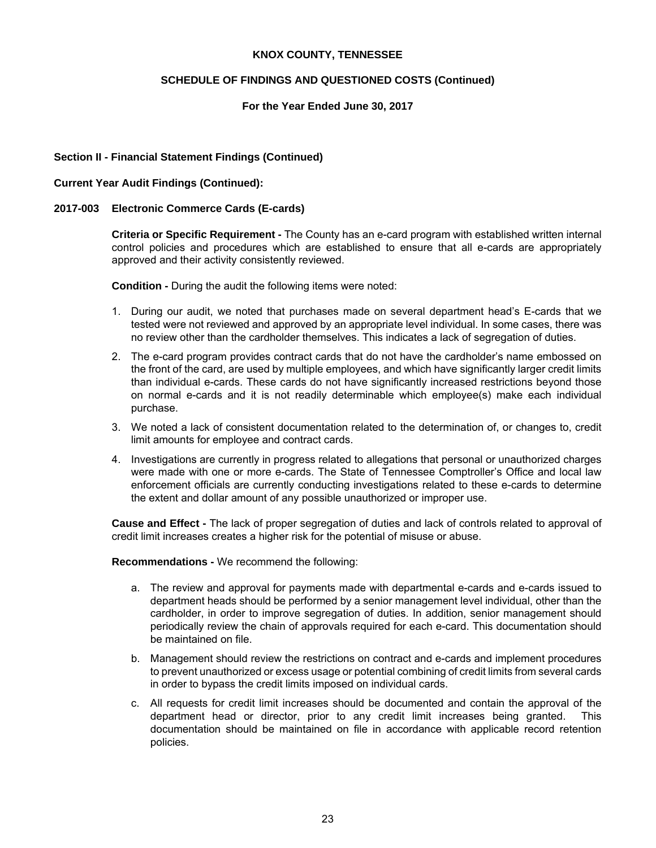## **SCHEDULE OF FINDINGS AND QUESTIONED COSTS (Continued)**

### **For the Year Ended June 30, 2017**

#### **Section II - Financial Statement Findings (Continued)**

### **Current Year Audit Findings (Continued):**

#### **2017-003 Electronic Commerce Cards (E-cards)**

**Criteria or Specific Requirement -** The County has an e-card program with established written internal control policies and procedures which are established to ensure that all e-cards are appropriately approved and their activity consistently reviewed.

**Condition -** During the audit the following items were noted:

- 1. During our audit, we noted that purchases made on several department head's E-cards that we tested were not reviewed and approved by an appropriate level individual. In some cases, there was no review other than the cardholder themselves. This indicates a lack of segregation of duties.
- 2. The e-card program provides contract cards that do not have the cardholder's name embossed on the front of the card, are used by multiple employees, and which have significantly larger credit limits than individual e-cards. These cards do not have significantly increased restrictions beyond those on normal e-cards and it is not readily determinable which employee(s) make each individual purchase.
- 3. We noted a lack of consistent documentation related to the determination of, or changes to, credit limit amounts for employee and contract cards.
- 4. Investigations are currently in progress related to allegations that personal or unauthorized charges were made with one or more e-cards. The State of Tennessee Comptroller's Office and local law enforcement officials are currently conducting investigations related to these e-cards to determine the extent and dollar amount of any possible unauthorized or improper use.

**Cause and Effect -** The lack of proper segregation of duties and lack of controls related to approval of credit limit increases creates a higher risk for the potential of misuse or abuse.

**Recommendations -** We recommend the following:

- a. The review and approval for payments made with departmental e-cards and e-cards issued to department heads should be performed by a senior management level individual, other than the cardholder, in order to improve segregation of duties. In addition, senior management should periodically review the chain of approvals required for each e-card. This documentation should be maintained on file.
- b. Management should review the restrictions on contract and e-cards and implement procedures to prevent unauthorized or excess usage or potential combining of credit limits from several cards in order to bypass the credit limits imposed on individual cards.
- c. All requests for credit limit increases should be documented and contain the approval of the department head or director, prior to any credit limit increases being granted. This documentation should be maintained on file in accordance with applicable record retention policies.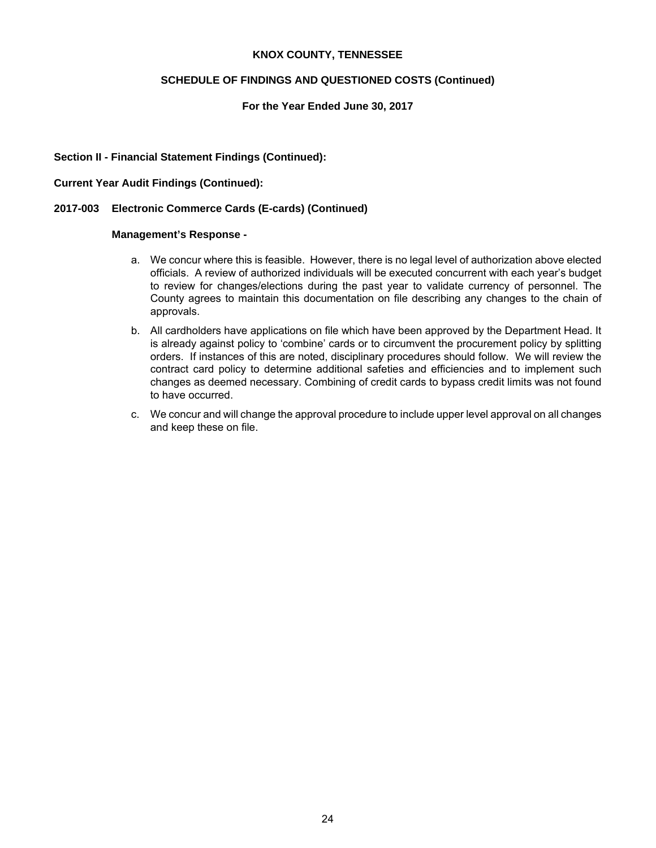# **SCHEDULE OF FINDINGS AND QUESTIONED COSTS (Continued)**

### **For the Year Ended June 30, 2017**

## **Section II - Financial Statement Findings (Continued):**

#### **Current Year Audit Findings (Continued):**

#### **2017-003 Electronic Commerce Cards (E-cards) (Continued)**

#### **Management's Response -**

- a. We concur where this is feasible. However, there is no legal level of authorization above elected officials. A review of authorized individuals will be executed concurrent with each year's budget to review for changes/elections during the past year to validate currency of personnel. The County agrees to maintain this documentation on file describing any changes to the chain of approvals.
- b. All cardholders have applications on file which have been approved by the Department Head. It is already against policy to 'combine' cards or to circumvent the procurement policy by splitting orders. If instances of this are noted, disciplinary procedures should follow. We will review the contract card policy to determine additional safeties and efficiencies and to implement such changes as deemed necessary. Combining of credit cards to bypass credit limits was not found to have occurred.
- c. We concur and will change the approval procedure to include upper level approval on all changes and keep these on file.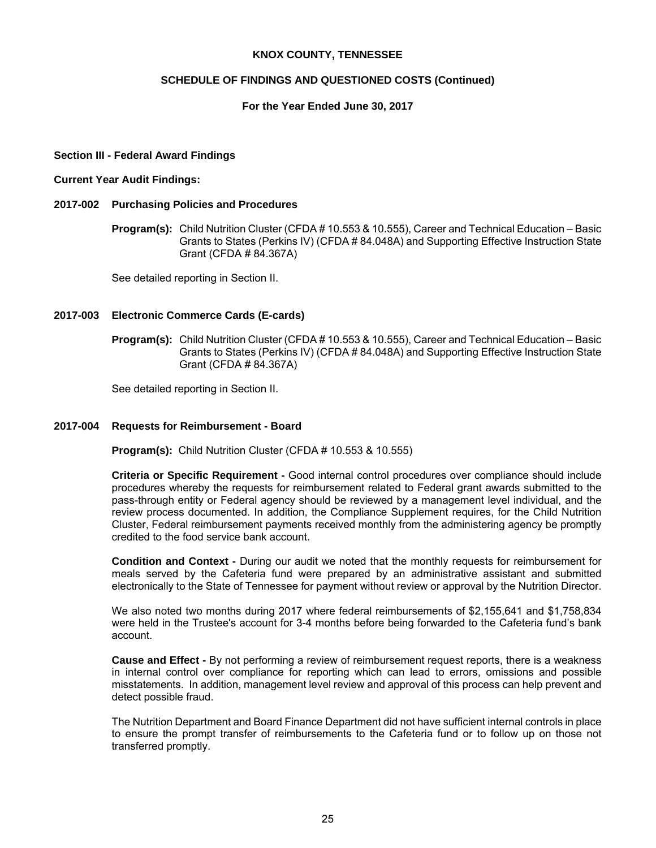#### **SCHEDULE OF FINDINGS AND QUESTIONED COSTS (Continued)**

#### **For the Year Ended June 30, 2017**

#### **Section III - Federal Award Findings**

#### **Current Year Audit Findings:**

#### **2017-002 Purchasing Policies and Procedures**

**Program(s):** Child Nutrition Cluster (CFDA # 10.553 & 10.555), Career and Technical Education – Basic Grants to States (Perkins IV) (CFDA # 84.048A) and Supporting Effective Instruction State Grant (CFDA # 84.367A)

See detailed reporting in Section II.

#### **2017-003 Electronic Commerce Cards (E-cards)**

**Program(s):** Child Nutrition Cluster (CFDA # 10.553 & 10.555), Career and Technical Education – Basic Grants to States (Perkins IV) (CFDA # 84.048A) and Supporting Effective Instruction State Grant (CFDA # 84.367A)

See detailed reporting in Section II.

#### **2017-004 Requests for Reimbursement - Board**

 **Program(s):** Child Nutrition Cluster (CFDA # 10.553 & 10.555)

**Criteria or Specific Requirement -** Good internal control procedures over compliance should include procedures whereby the requests for reimbursement related to Federal grant awards submitted to the pass-through entity or Federal agency should be reviewed by a management level individual, and the review process documented. In addition, the Compliance Supplement requires, for the Child Nutrition Cluster, Federal reimbursement payments received monthly from the administering agency be promptly credited to the food service bank account.

**Condition and Context -** During our audit we noted that the monthly requests for reimbursement for meals served by the Cafeteria fund were prepared by an administrative assistant and submitted electronically to the State of Tennessee for payment without review or approval by the Nutrition Director.

We also noted two months during 2017 where federal reimbursements of \$2,155,641 and \$1,758,834 were held in the Trustee's account for 3-4 months before being forwarded to the Cafeteria fund's bank account.

**Cause and Effect -** By not performing a review of reimbursement request reports, there is a weakness in internal control over compliance for reporting which can lead to errors, omissions and possible misstatements. In addition, management level review and approval of this process can help prevent and detect possible fraud.

The Nutrition Department and Board Finance Department did not have sufficient internal controls in place to ensure the prompt transfer of reimbursements to the Cafeteria fund or to follow up on those not transferred promptly.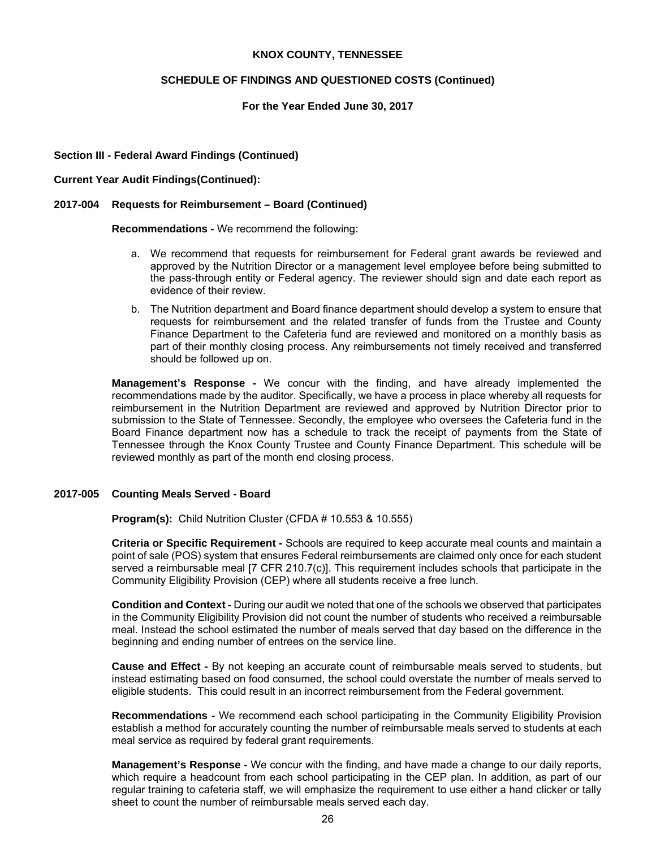#### **SCHEDULE OF FINDINGS AND QUESTIONED COSTS (Continued)**

#### **For the Year Ended June 30, 2017**

#### **Section III - Federal Award Findings (Continued)**

#### **Current Year Audit Findings(Continued):**

#### **2017-004 Requests for Reimbursement – Board (Continued)**

**Recommendations -** We recommend the following:

- a. We recommend that requests for reimbursement for Federal grant awards be reviewed and approved by the Nutrition Director or a management level employee before being submitted to the pass-through entity or Federal agency. The reviewer should sign and date each report as evidence of their review.
- b. The Nutrition department and Board finance department should develop a system to ensure that requests for reimbursement and the related transfer of funds from the Trustee and County Finance Department to the Cafeteria fund are reviewed and monitored on a monthly basis as part of their monthly closing process. Any reimbursements not timely received and transferred should be followed up on.

**Management's Response -** We concur with the finding, and have already implemented the recommendations made by the auditor. Specifically, we have a process in place whereby all requests for reimbursement in the Nutrition Department are reviewed and approved by Nutrition Director prior to submission to the State of Tennessee. Secondly, the employee who oversees the Cafeteria fund in the Board Finance department now has a schedule to track the receipt of payments from the State of Tennessee through the Knox County Trustee and County Finance Department. This schedule will be reviewed monthly as part of the month end closing process.

#### **2017-005 Counting Meals Served - Board**

 **Program(s):** Child Nutrition Cluster (CFDA # 10.553 & 10.555)

**Criteria or Specific Requirement -** Schools are required to keep accurate meal counts and maintain a point of sale (POS) system that ensures Federal reimbursements are claimed only once for each student served a reimbursable meal [7 CFR 210.7(c)]. This requirement includes schools that participate in the Community Eligibility Provision (CEP) where all students receive a free lunch.

**Condition and Context -** During our audit we noted that one of the schools we observed that participates in the Community Eligibility Provision did not count the number of students who received a reimbursable meal. Instead the school estimated the number of meals served that day based on the difference in the beginning and ending number of entrees on the service line.

**Cause and Effect -** By not keeping an accurate count of reimbursable meals served to students, but instead estimating based on food consumed, the school could overstate the number of meals served to eligible students. This could result in an incorrect reimbursement from the Federal government.

**Recommendations -** We recommend each school participating in the Community Eligibility Provision establish a method for accurately counting the number of reimbursable meals served to students at each meal service as required by federal grant requirements.

**Management's Response -** We concur with the finding, and have made a change to our daily reports, which require a headcount from each school participating in the CEP plan. In addition, as part of our regular training to cafeteria staff, we will emphasize the requirement to use either a hand clicker or tally sheet to count the number of reimbursable meals served each day.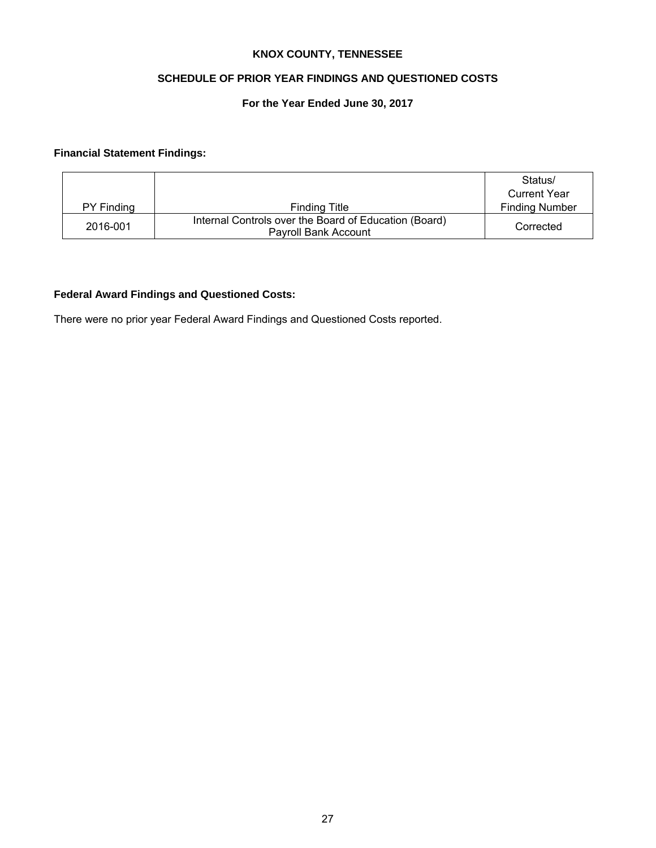# **SCHEDULE OF PRIOR YEAR FINDINGS AND QUESTIONED COSTS**

# **For the Year Ended June 30, 2017**

# **Financial Statement Findings:**

|            |                                                                               | Status/               |
|------------|-------------------------------------------------------------------------------|-----------------------|
|            |                                                                               | <b>Current Year</b>   |
| PY Finding | <b>Finding Title</b>                                                          | <b>Finding Number</b> |
| 2016-001   | Internal Controls over the Board of Education (Board)<br>Payroll Bank Account | Corrected             |

# **Federal Award Findings and Questioned Costs:**

There were no prior year Federal Award Findings and Questioned Costs reported.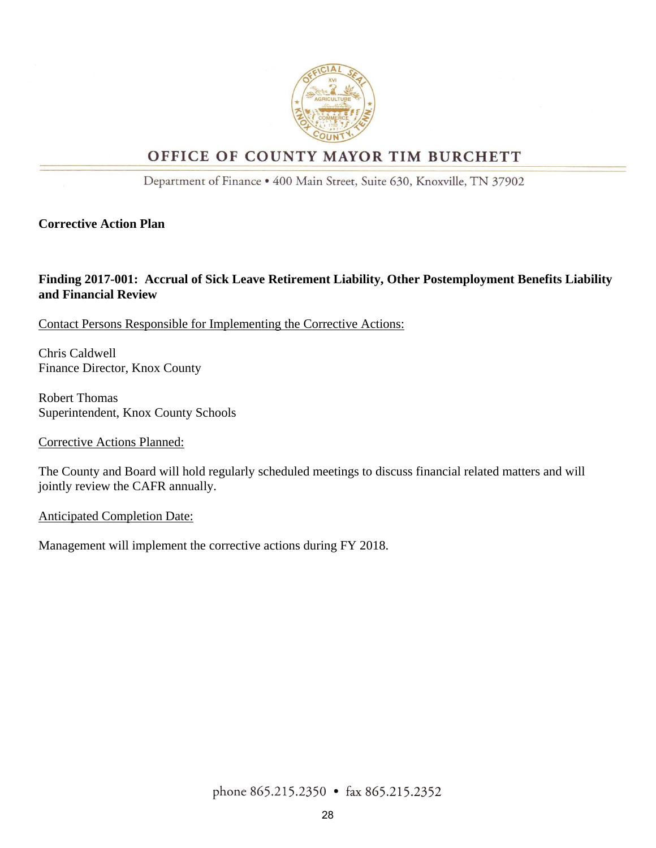

Department of Finance . 400 Main Street, Suite 630, Knoxville, TN 37902

**Corrective Action Plan** 

# **Finding 2017-001: Accrual of Sick Leave Retirement Liability, Other Postemployment Benefits Liability and Financial Review**

Contact Persons Responsible for Implementing the Corrective Actions:

Chris Caldwell Finance Director, Knox County

Robert Thomas Superintendent, Knox County Schools

Corrective Actions Planned:

The County and Board will hold regularly scheduled meetings to discuss financial related matters and will jointly review the CAFR annually.

Anticipated Completion Date:

Management will implement the corrective actions during FY 2018.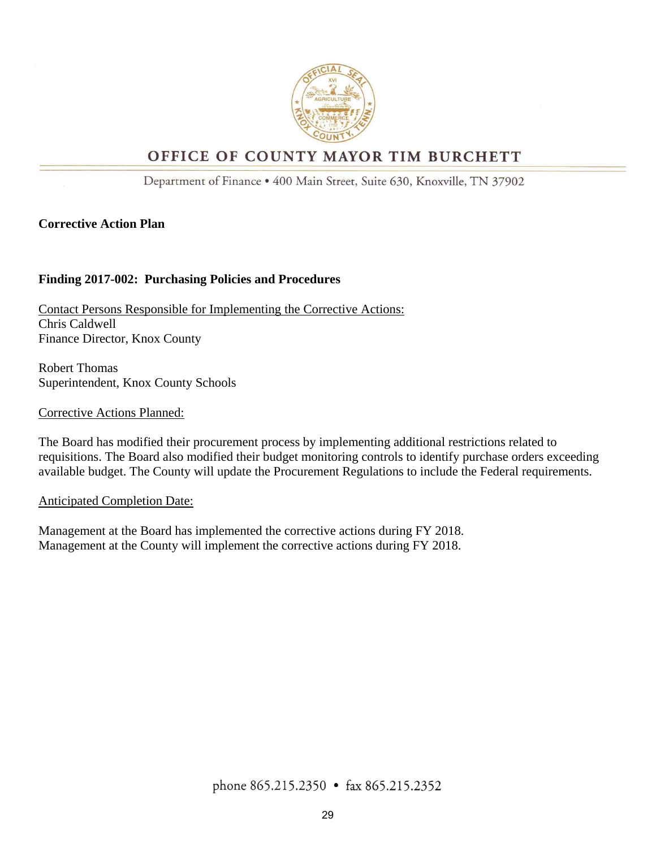

Department of Finance . 400 Main Street, Suite 630, Knoxville, TN 37902

**Corrective Action Plan** 

# **Finding 2017-002: Purchasing Policies and Procedures**

Contact Persons Responsible for Implementing the Corrective Actions: Chris Caldwell Finance Director, Knox County

Robert Thomas Superintendent, Knox County Schools

# Corrective Actions Planned:

The Board has modified their procurement process by implementing additional restrictions related to requisitions. The Board also modified their budget monitoring controls to identify purchase orders exceeding available budget. The County will update the Procurement Regulations to include the Federal requirements.

Anticipated Completion Date:

Management at the Board has implemented the corrective actions during FY 2018. Management at the County will implement the corrective actions during FY 2018.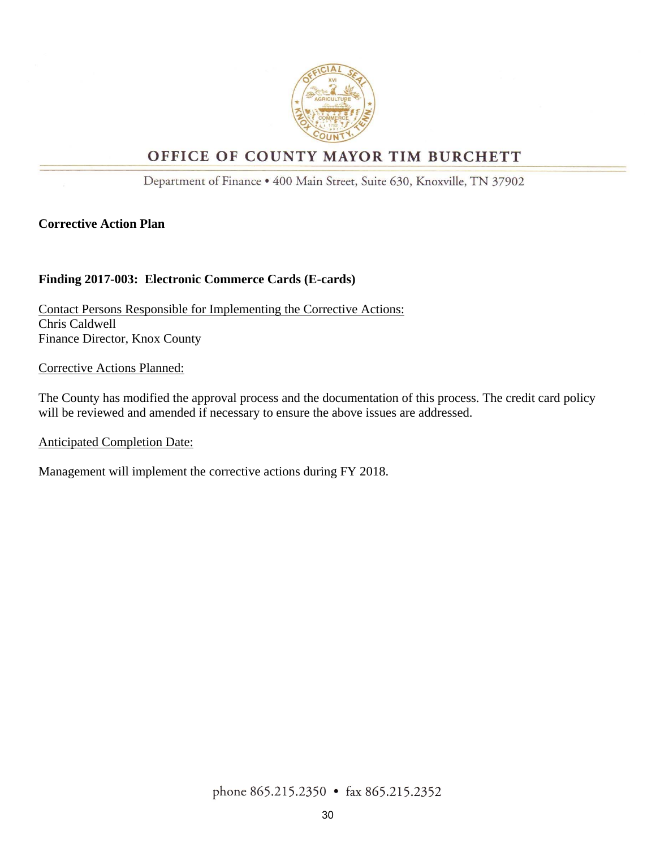

Department of Finance . 400 Main Street, Suite 630, Knoxville, TN 37902

**Corrective Action Plan** 

# **Finding 2017-003: Electronic Commerce Cards (E-cards)**

Contact Persons Responsible for Implementing the Corrective Actions: Chris Caldwell Finance Director, Knox County

Corrective Actions Planned:

The County has modified the approval process and the documentation of this process. The credit card policy will be reviewed and amended if necessary to ensure the above issues are addressed.

Anticipated Completion Date:

Management will implement the corrective actions during FY 2018.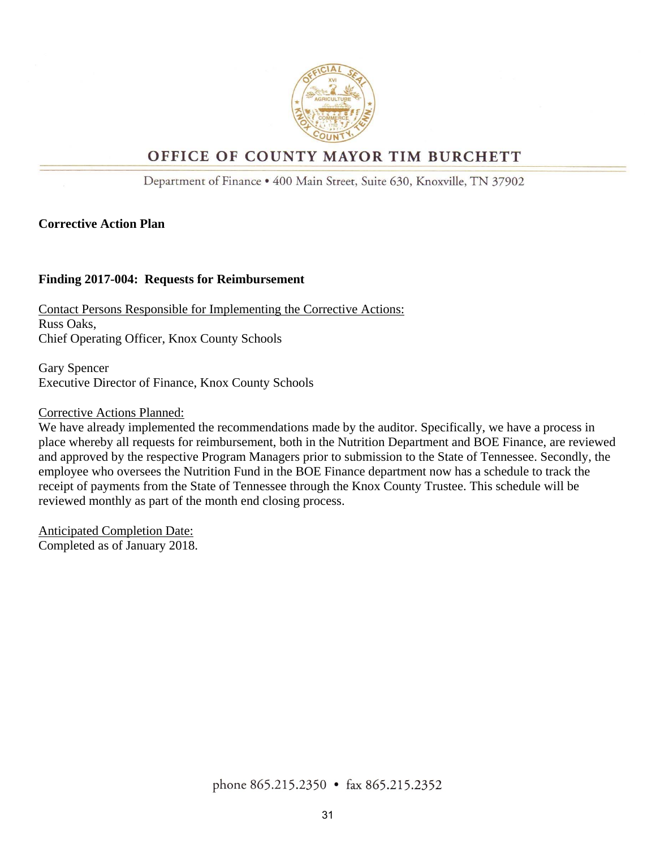

Department of Finance . 400 Main Street, Suite 630, Knoxville, TN 37902

**Corrective Action Plan** 

# **Finding 2017-004: Requests for Reimbursement**

Contact Persons Responsible for Implementing the Corrective Actions: Russ Oaks, Chief Operating Officer, Knox County Schools

Gary Spencer Executive Director of Finance, Knox County Schools

# Corrective Actions Planned:

We have already implemented the recommendations made by the auditor. Specifically, we have a process in place whereby all requests for reimbursement, both in the Nutrition Department and BOE Finance, are reviewed and approved by the respective Program Managers prior to submission to the State of Tennessee. Secondly, the employee who oversees the Nutrition Fund in the BOE Finance department now has a schedule to track the receipt of payments from the State of Tennessee through the Knox County Trustee. This schedule will be reviewed monthly as part of the month end closing process.

Anticipated Completion Date: Completed as of January 2018.